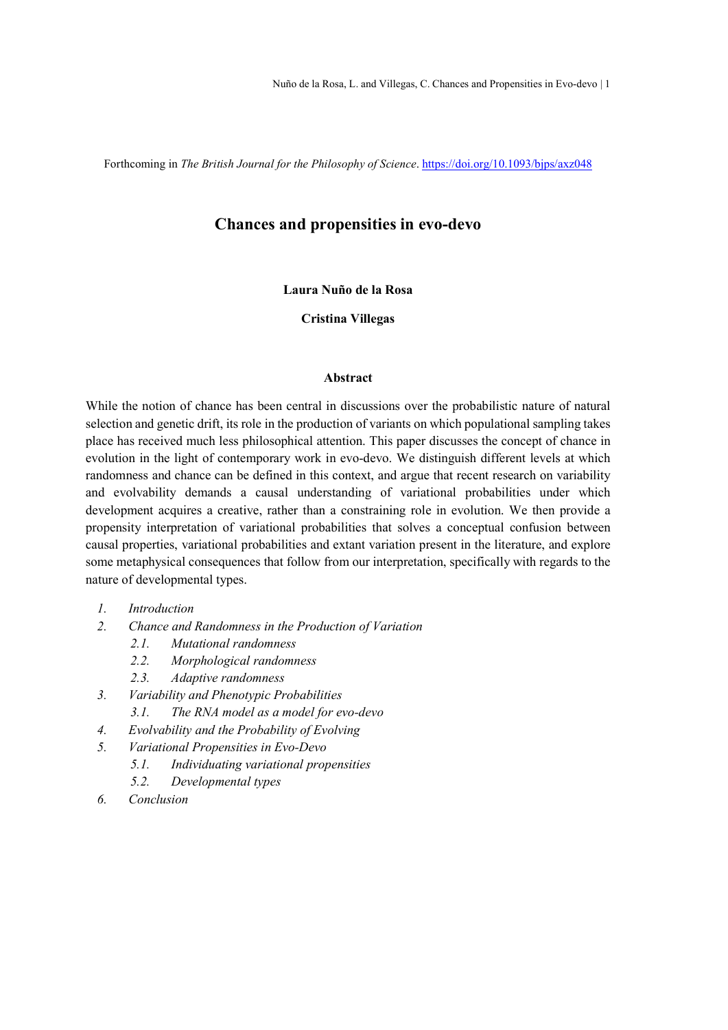Forthcoming in The British Journal for the Philosophy of Science. https://doi.org/10.1093/bjps/axz048

# Chances and propensities in evo-devo

# Laura Nuño de la Rosa

Cristina Villegas

### Abstract

While the notion of chance has been central in discussions over the probabilistic nature of natural selection and genetic drift, its role in the production of variants on which populational sampling takes place has received much less philosophical attention. This paper discusses the concept of chance in evolution in the light of contemporary work in evo-devo. We distinguish different levels at which randomness and chance can be defined in this context, and argue that recent research on variability and evolvability demands a causal understanding of variational probabilities under which development acquires a creative, rather than a constraining role in evolution. We then provide a propensity interpretation of variational probabilities that solves a conceptual confusion between causal properties, variational probabilities and extant variation present in the literature, and explore some metaphysical consequences that follow from our interpretation, specifically with regards to the nature of developmental types.

- 1. Introduction
- 2. Chance and Randomness in the Production of Variation
	- 2.1. Mutational randomness
	- 2.2. Morphological randomness
	- 2.3. Adaptive randomness
- 3. Variability and Phenotypic Probabilities
	- 3.1. The RNA model as a model for evo-devo
- 4. Evolvability and the Probability of Evolving
- 5. Variational Propensities in Evo-Devo
	- 5.1. Individuating variational propensities
	- 5.2. Developmental types
- 6. Conclusion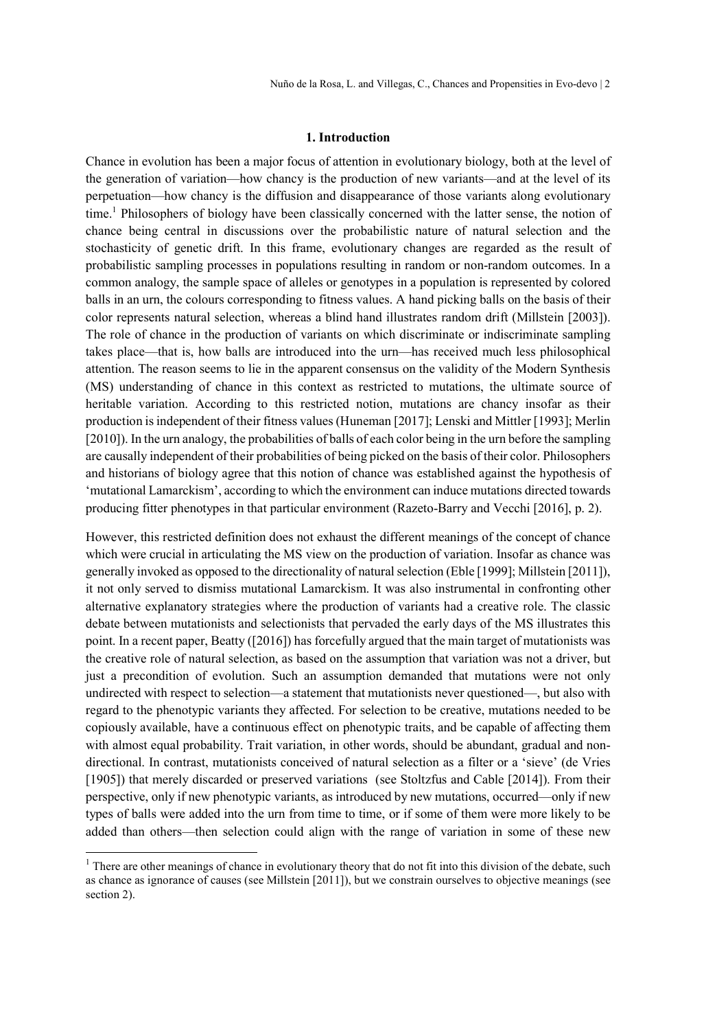Nuño de la Rosa, L. and Villegas, C., Chances and Propensities in Evo-devo | 2

### 1. Introduction

Chance in evolution has been a major focus of attention in evolutionary biology, both at the level of the generation of variation—how chancy is the production of new variants—and at the level of its perpetuation—how chancy is the diffusion and disappearance of those variants along evolutionary time.<sup>1</sup> Philosophers of biology have been classically concerned with the latter sense, the notion of chance being central in discussions over the probabilistic nature of natural selection and the stochasticity of genetic drift. In this frame, evolutionary changes are regarded as the result of probabilistic sampling processes in populations resulting in random or non-random outcomes. In a common analogy, the sample space of alleles or genotypes in a population is represented by colored balls in an urn, the colours corresponding to fitness values. A hand picking balls on the basis of their color represents natural selection, whereas a blind hand illustrates random drift (Millstein [2003]). The role of chance in the production of variants on which discriminate or indiscriminate sampling takes place—that is, how balls are introduced into the urn—has received much less philosophical attention. The reason seems to lie in the apparent consensus on the validity of the Modern Synthesis (MS) understanding of chance in this context as restricted to mutations, the ultimate source of heritable variation. According to this restricted notion, mutations are chancy insofar as their production is independent of their fitness values (Huneman [2017]; Lenski and Mittler [1993]; Merlin [2010]). In the urn analogy, the probabilities of balls of each color being in the urn before the sampling are causally independent of their probabilities of being picked on the basis of their color. Philosophers and historians of biology agree that this notion of chance was established against the hypothesis of 'mutational Lamarckism', according to which the environment can induce mutations directed towards producing fitter phenotypes in that particular environment (Razeto-Barry and Vecchi [2016], p. 2).

However, this restricted definition does not exhaust the different meanings of the concept of chance which were crucial in articulating the MS view on the production of variation. Insofar as chance was generally invoked as opposed to the directionality of natural selection (Eble [1999]; Millstein [2011]), it not only served to dismiss mutational Lamarckism. It was also instrumental in confronting other alternative explanatory strategies where the production of variants had a creative role. The classic debate between mutationists and selectionists that pervaded the early days of the MS illustrates this point. In a recent paper, Beatty ([2016]) has forcefully argued that the main target of mutationists was the creative role of natural selection, as based on the assumption that variation was not a driver, but just a precondition of evolution. Such an assumption demanded that mutations were not only undirected with respect to selection—a statement that mutationists never questioned—, but also with regard to the phenotypic variants they affected. For selection to be creative, mutations needed to be copiously available, have a continuous effect on phenotypic traits, and be capable of affecting them with almost equal probability. Trait variation, in other words, should be abundant, gradual and nondirectional. In contrast, mutationists conceived of natural selection as a filter or a 'sieve' (de Vries [1905]) that merely discarded or preserved variations (see Stoltzfus and Cable [2014]). From their perspective, only if new phenotypic variants, as introduced by new mutations, occurred—only if new types of balls were added into the urn from time to time, or if some of them were more likely to be added than others—then selection could align with the range of variation in some of these new

 $<sup>1</sup>$  There are other meanings of chance in evolutionary theory that do not fit into this division of the debate, such</sup> as chance as ignorance of causes (see Millstein [2011]), but we constrain ourselves to objective meanings (see section 2).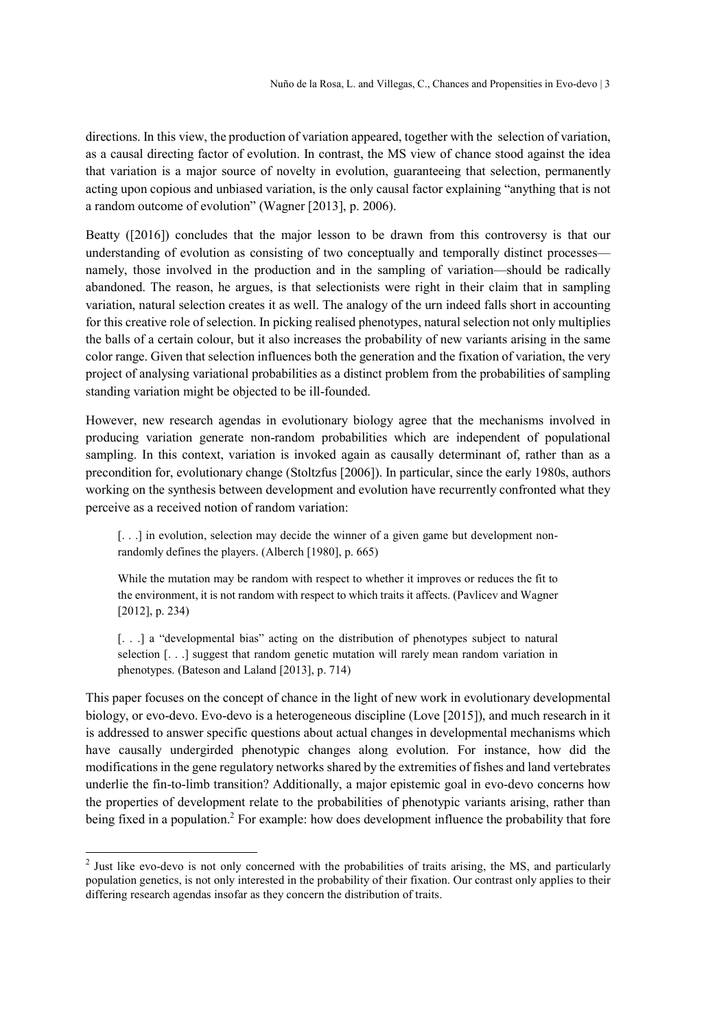directions. In this view, the production of variation appeared, together with the selection of variation, as a causal directing factor of evolution. In contrast, the MS view of chance stood against the idea that variation is a major source of novelty in evolution, guaranteeing that selection, permanently acting upon copious and unbiased variation, is the only causal factor explaining "anything that is not a random outcome of evolution" (Wagner [2013], p. 2006).

Beatty ([2016]) concludes that the major lesson to be drawn from this controversy is that our understanding of evolution as consisting of two conceptually and temporally distinct processes namely, those involved in the production and in the sampling of variation—should be radically abandoned. The reason, he argues, is that selectionists were right in their claim that in sampling variation, natural selection creates it as well. The analogy of the urn indeed falls short in accounting for this creative role of selection. In picking realised phenotypes, natural selection not only multiplies the balls of a certain colour, but it also increases the probability of new variants arising in the same color range. Given that selection influences both the generation and the fixation of variation, the very project of analysing variational probabilities as a distinct problem from the probabilities of sampling standing variation might be objected to be ill-founded.

However, new research agendas in evolutionary biology agree that the mechanisms involved in producing variation generate non-random probabilities which are independent of populational sampling. In this context, variation is invoked again as causally determinant of, rather than as a precondition for, evolutionary change (Stoltzfus [2006]). In particular, since the early 1980s, authors working on the synthesis between development and evolution have recurrently confronted what they perceive as a received notion of random variation:

[. . .] in evolution, selection may decide the winner of a given game but development nonrandomly defines the players. (Alberch [1980], p. 665)

While the mutation may be random with respect to whether it improves or reduces the fit to the environment, it is not random with respect to which traits it affects. (Pavlicev and Wagner [2012], p. 234)

[. . .] a "developmental bias" acting on the distribution of phenotypes subject to natural selection [. . .] suggest that random genetic mutation will rarely mean random variation in phenotypes. (Bateson and Laland [2013], p. 714)

This paper focuses on the concept of chance in the light of new work in evolutionary developmental biology, or evo-devo. Evo-devo is a heterogeneous discipline (Love [2015]), and much research in it is addressed to answer specific questions about actual changes in developmental mechanisms which have causally undergirded phenotypic changes along evolution. For instance, how did the modifications in the gene regulatory networks shared by the extremities of fishes and land vertebrates underlie the fin-to-limb transition? Additionally, a major epistemic goal in evo-devo concerns how the properties of development relate to the probabilities of phenotypic variants arising, rather than being fixed in a population.<sup>2</sup> For example: how does development influence the probability that fore

 $2$  Just like evo-devo is not only concerned with the probabilities of traits arising, the MS, and particularly population genetics, is not only interested in the probability of their fixation. Our contrast only applies to their differing research agendas insofar as they concern the distribution of traits.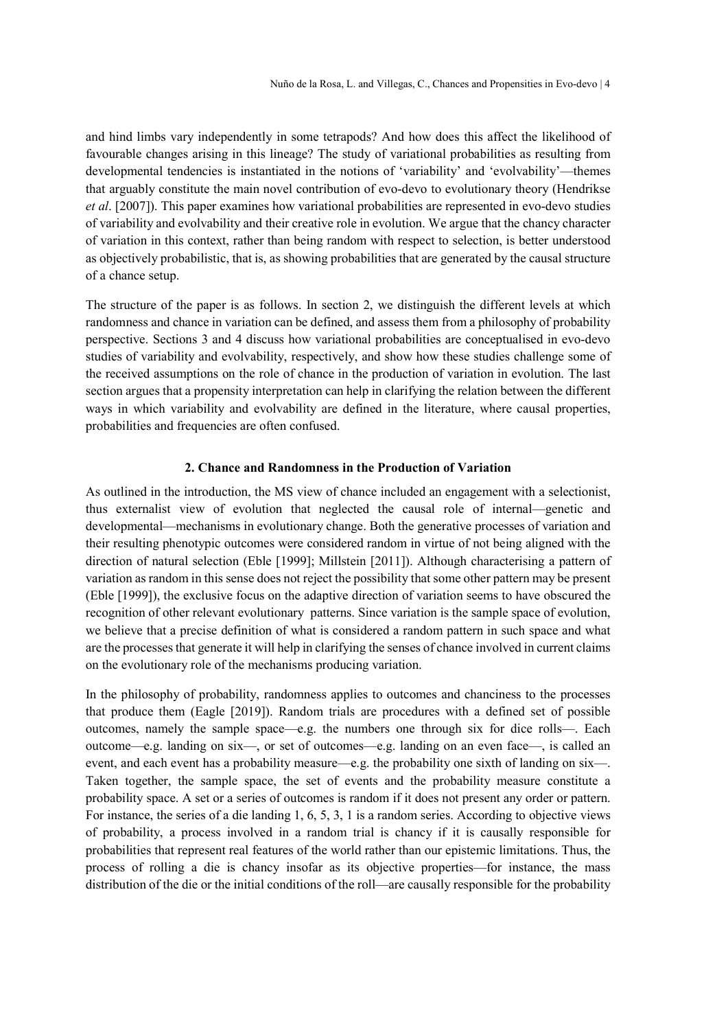and hind limbs vary independently in some tetrapods? And how does this affect the likelihood of favourable changes arising in this lineage? The study of variational probabilities as resulting from developmental tendencies is instantiated in the notions of 'variability' and 'evolvability'—themes that arguably constitute the main novel contribution of evo-devo to evolutionary theory (Hendrikse et al. [2007]). This paper examines how variational probabilities are represented in evo-devo studies of variability and evolvability and their creative role in evolution. We argue that the chancy character of variation in this context, rather than being random with respect to selection, is better understood as objectively probabilistic, that is, as showing probabilities that are generated by the causal structure of a chance setup.

The structure of the paper is as follows. In section 2, we distinguish the different levels at which randomness and chance in variation can be defined, and assess them from a philosophy of probability perspective. Sections 3 and 4 discuss how variational probabilities are conceptualised in evo-devo studies of variability and evolvability, respectively, and show how these studies challenge some of the received assumptions on the role of chance in the production of variation in evolution. The last section argues that a propensity interpretation can help in clarifying the relation between the different ways in which variability and evolvability are defined in the literature, where causal properties, probabilities and frequencies are often confused.

# 2. Chance and Randomness in the Production of Variation

As outlined in the introduction, the MS view of chance included an engagement with a selectionist, thus externalist view of evolution that neglected the causal role of internal—genetic and developmental—mechanisms in evolutionary change. Both the generative processes of variation and their resulting phenotypic outcomes were considered random in virtue of not being aligned with the direction of natural selection (Eble [1999]; Millstein [2011]). Although characterising a pattern of variation as random in this sense does not reject the possibility that some other pattern may be present (Eble [1999]), the exclusive focus on the adaptive direction of variation seems to have obscured the recognition of other relevant evolutionary patterns. Since variation is the sample space of evolution, we believe that a precise definition of what is considered a random pattern in such space and what are the processes that generate it will help in clarifying the senses of chance involved in current claims on the evolutionary role of the mechanisms producing variation.

In the philosophy of probability, randomness applies to outcomes and chanciness to the processes that produce them (Eagle [2019]). Random trials are procedures with a defined set of possible outcomes, namely the sample space—e.g. the numbers one through six for dice rolls—. Each outcome—e.g. landing on six—, or set of outcomes—e.g. landing on an even face—, is called an event, and each event has a probability measure—e.g. the probability one sixth of landing on six—. Taken together, the sample space, the set of events and the probability measure constitute a probability space. A set or a series of outcomes is random if it does not present any order or pattern. For instance, the series of a die landing 1, 6, 5, 3, 1 is a random series. According to objective views of probability, a process involved in a random trial is chancy if it is causally responsible for probabilities that represent real features of the world rather than our epistemic limitations. Thus, the process of rolling a die is chancy insofar as its objective properties—for instance, the mass distribution of the die or the initial conditions of the roll—are causally responsible for the probability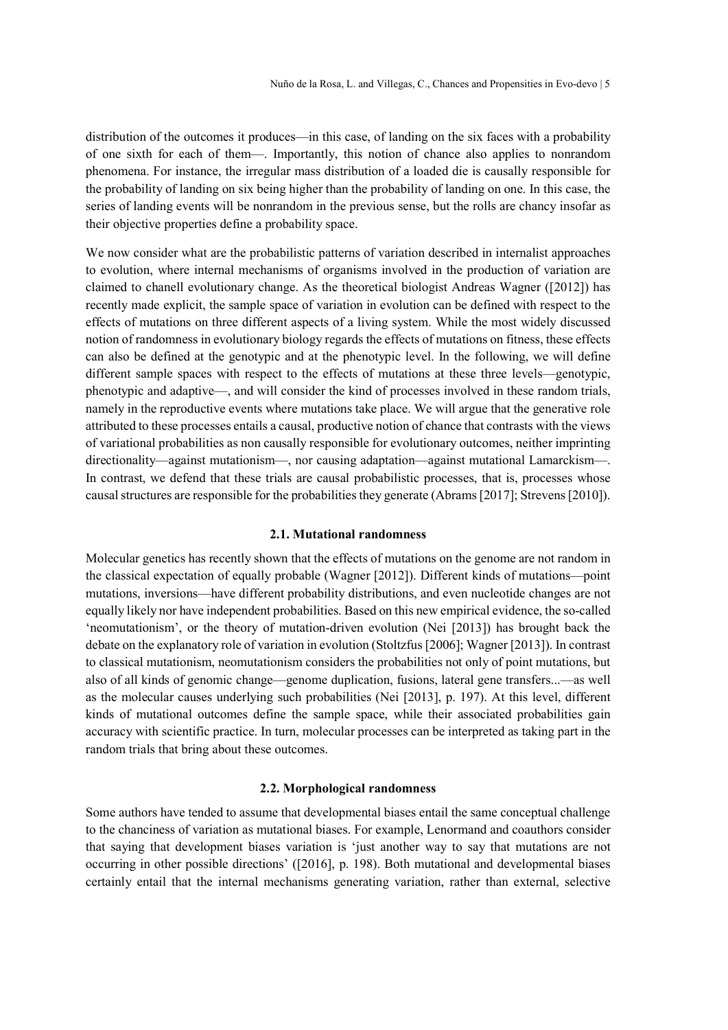distribution of the outcomes it produces—in this case, of landing on the six faces with a probability of one sixth for each of them—. Importantly, this notion of chance also applies to nonrandom phenomena. For instance, the irregular mass distribution of a loaded die is causally responsible for the probability of landing on six being higher than the probability of landing on one. In this case, the series of landing events will be nonrandom in the previous sense, but the rolls are chancy insofar as their objective properties define a probability space.

We now consider what are the probabilistic patterns of variation described in internalist approaches to evolution, where internal mechanisms of organisms involved in the production of variation are claimed to chanell evolutionary change. As the theoretical biologist Andreas Wagner ([2012]) has recently made explicit, the sample space of variation in evolution can be defined with respect to the effects of mutations on three different aspects of a living system. While the most widely discussed notion of randomness in evolutionary biology regards the effects of mutations on fitness, these effects can also be defined at the genotypic and at the phenotypic level. In the following, we will define different sample spaces with respect to the effects of mutations at these three levels—genotypic, phenotypic and adaptive—, and will consider the kind of processes involved in these random trials, namely in the reproductive events where mutations take place. We will argue that the generative role attributed to these processes entails a causal, productive notion of chance that contrasts with the views of variational probabilities as non causally responsible for evolutionary outcomes, neither imprinting directionality—against mutationism—, nor causing adaptation—against mutational Lamarckism—. In contrast, we defend that these trials are causal probabilistic processes, that is, processes whose causal structures are responsible for the probabilities they generate (Abrams [2017]; Strevens [2010]).

### 2.1. Mutational randomness

Molecular genetics has recently shown that the effects of mutations on the genome are not random in the classical expectation of equally probable (Wagner [2012]). Different kinds of mutations—point mutations, inversions—have different probability distributions, and even nucleotide changes are not equally likely nor have independent probabilities. Based on this new empirical evidence, the so-called 'neomutationism', or the theory of mutation-driven evolution (Nei [2013]) has brought back the debate on the explanatory role of variation in evolution (Stoltzfus [2006]; Wagner [2013]). In contrast to classical mutationism, neomutationism considers the probabilities not only of point mutations, but also of all kinds of genomic change—genome duplication, fusions, lateral gene transfers...—as well as the molecular causes underlying such probabilities (Nei [2013], p. 197). At this level, different kinds of mutational outcomes define the sample space, while their associated probabilities gain accuracy with scientific practice. In turn, molecular processes can be interpreted as taking part in the random trials that bring about these outcomes.

# 2.2. Morphological randomness

Some authors have tended to assume that developmental biases entail the same conceptual challenge to the chanciness of variation as mutational biases. For example, Lenormand and coauthors consider that saying that development biases variation is 'just another way to say that mutations are not occurring in other possible directions' ([2016], p. 198). Both mutational and developmental biases certainly entail that the internal mechanisms generating variation, rather than external, selective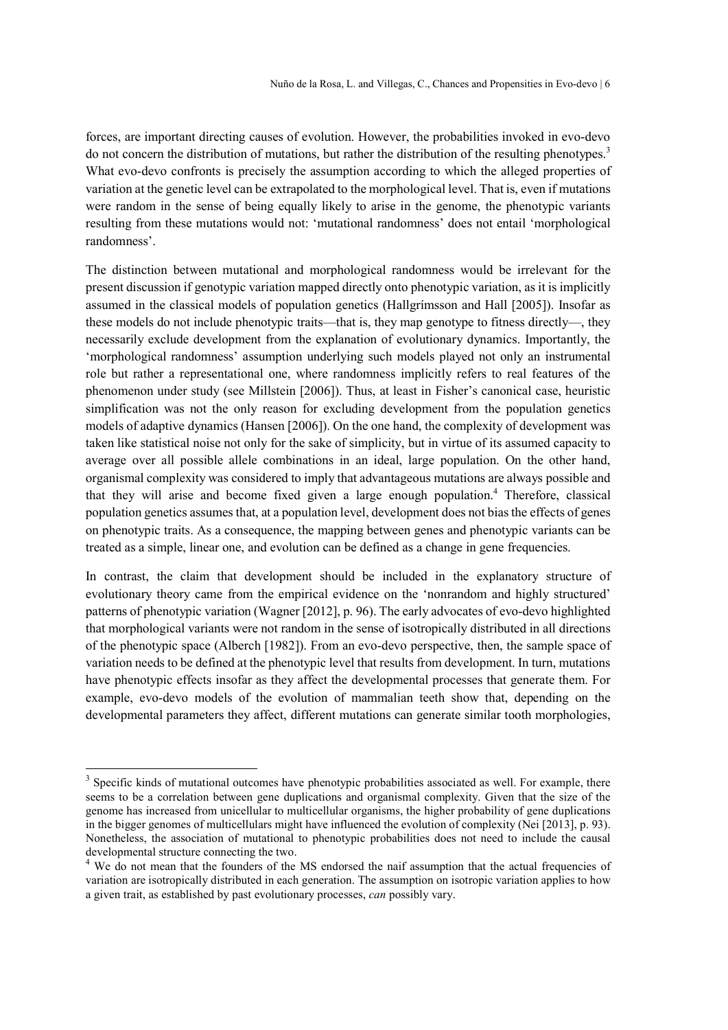forces, are important directing causes of evolution. However, the probabilities invoked in evo-devo do not concern the distribution of mutations, but rather the distribution of the resulting phenotypes.<sup>3</sup> What evo-devo confronts is precisely the assumption according to which the alleged properties of variation at the genetic level can be extrapolated to the morphological level. That is, even if mutations were random in the sense of being equally likely to arise in the genome, the phenotypic variants resulting from these mutations would not: 'mutational randomness' does not entail 'morphological randomness'.

The distinction between mutational and morphological randomness would be irrelevant for the present discussion if genotypic variation mapped directly onto phenotypic variation, as it is implicitly assumed in the classical models of population genetics (Hallgrímsson and Hall [2005]). Insofar as these models do not include phenotypic traits—that is, they map genotype to fitness directly—, they necessarily exclude development from the explanation of evolutionary dynamics. Importantly, the 'morphological randomness' assumption underlying such models played not only an instrumental role but rather a representational one, where randomness implicitly refers to real features of the phenomenon under study (see Millstein [2006]). Thus, at least in Fisher's canonical case, heuristic simplification was not the only reason for excluding development from the population genetics models of adaptive dynamics (Hansen [2006]). On the one hand, the complexity of development was taken like statistical noise not only for the sake of simplicity, but in virtue of its assumed capacity to average over all possible allele combinations in an ideal, large population. On the other hand, organismal complexity was considered to imply that advantageous mutations are always possible and that they will arise and become fixed given a large enough population.<sup>4</sup> Therefore, classical population genetics assumes that, at a population level, development does not bias the effects of genes on phenotypic traits. As a consequence, the mapping between genes and phenotypic variants can be treated as a simple, linear one, and evolution can be defined as a change in gene frequencies.

In contrast, the claim that development should be included in the explanatory structure of evolutionary theory came from the empirical evidence on the 'nonrandom and highly structured' patterns of phenotypic variation (Wagner [2012], p. 96). The early advocates of evo-devo highlighted that morphological variants were not random in the sense of isotropically distributed in all directions of the phenotypic space (Alberch [1982]). From an evo-devo perspective, then, the sample space of variation needs to be defined at the phenotypic level that results from development. In turn, mutations have phenotypic effects insofar as they affect the developmental processes that generate them. For example, evo-devo models of the evolution of mammalian teeth show that, depending on the developmental parameters they affect, different mutations can generate similar tooth morphologies,

<sup>&</sup>lt;sup>3</sup> Specific kinds of mutational outcomes have phenotypic probabilities associated as well. For example, there seems to be a correlation between gene duplications and organismal complexity. Given that the size of the genome has increased from unicellular to multicellular organisms, the higher probability of gene duplications in the bigger genomes of multicellulars might have influenced the evolution of complexity (Nei [2013], p. 93). Nonetheless, the association of mutational to phenotypic probabilities does not need to include the causal developmental structure connecting the two.

<sup>&</sup>lt;sup>4</sup> We do not mean that the founders of the MS endorsed the naif assumption that the actual frequencies of variation are isotropically distributed in each generation. The assumption on isotropic variation applies to how a given trait, as established by past evolutionary processes, can possibly vary.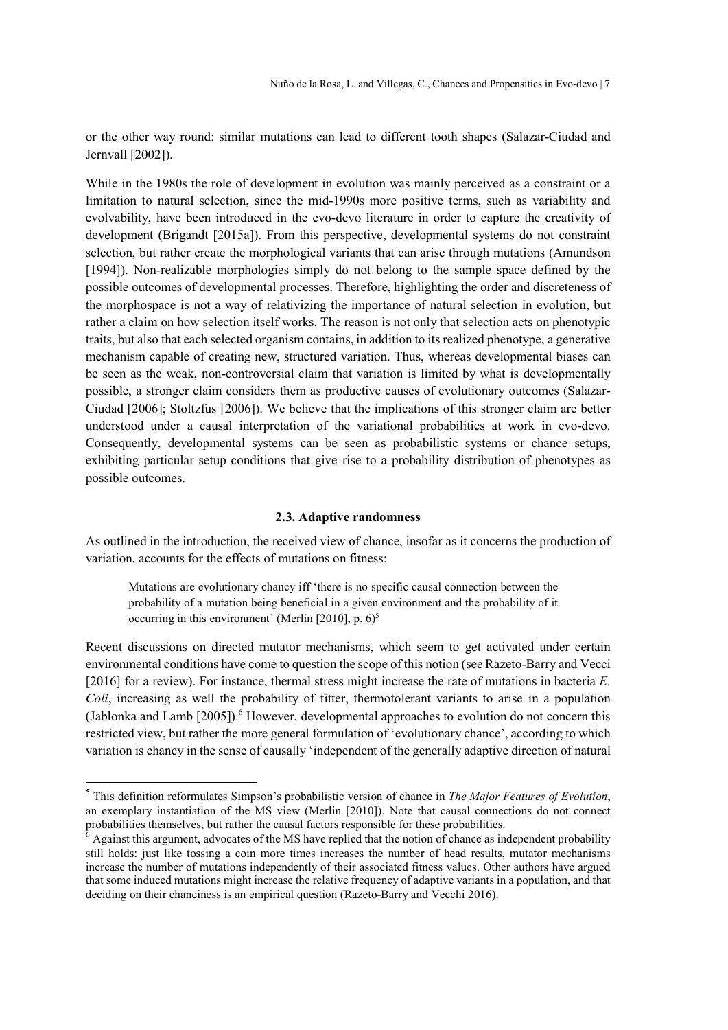or the other way round: similar mutations can lead to different tooth shapes (Salazar-Ciudad and Jernvall [2002]).

While in the 1980s the role of development in evolution was mainly perceived as a constraint or a limitation to natural selection, since the mid-1990s more positive terms, such as variability and evolvability, have been introduced in the evo-devo literature in order to capture the creativity of development (Brigandt [2015a]). From this perspective, developmental systems do not constraint selection, but rather create the morphological variants that can arise through mutations (Amundson [1994]). Non-realizable morphologies simply do not belong to the sample space defined by the possible outcomes of developmental processes. Therefore, highlighting the order and discreteness of the morphospace is not a way of relativizing the importance of natural selection in evolution, but rather a claim on how selection itself works. The reason is not only that selection acts on phenotypic traits, but also that each selected organism contains, in addition to its realized phenotype, a generative mechanism capable of creating new, structured variation. Thus, whereas developmental biases can be seen as the weak, non-controversial claim that variation is limited by what is developmentally possible, a stronger claim considers them as productive causes of evolutionary outcomes (Salazar-Ciudad [2006]; Stoltzfus [2006]). We believe that the implications of this stronger claim are better understood under a causal interpretation of the variational probabilities at work in evo-devo. Consequently, developmental systems can be seen as probabilistic systems or chance setups, exhibiting particular setup conditions that give rise to a probability distribution of phenotypes as possible outcomes.

# 2.3. Adaptive randomness

As outlined in the introduction, the received view of chance, insofar as it concerns the production of variation, accounts for the effects of mutations on fitness:

Mutations are evolutionary chancy iff 'there is no specific causal connection between the probability of a mutation being beneficial in a given environment and the probability of it occurring in this environment' (Merlin [2010], p.  $6$ <sup>5</sup>

Recent discussions on directed mutator mechanisms, which seem to get activated under certain environmental conditions have come to question the scope of this notion (see Razeto-Barry and Vecci [2016] for a review). For instance, thermal stress might increase the rate of mutations in bacteria E. Coli, increasing as well the probability of fitter, thermotolerant variants to arise in a population (Jablonka and Lamb  $[2005]$ ).<sup>6</sup> However, developmental approaches to evolution do not concern this restricted view, but rather the more general formulation of 'evolutionary chance', according to which variation is chancy in the sense of causally 'independent of the generally adaptive direction of natural

 $<sup>5</sup>$  This definition reformulates Simpson's probabilistic version of chance in The Major Features of Evolution,</sup> an exemplary instantiation of the MS view (Merlin [2010]). Note that causal connections do not connect probabilities themselves, but rather the causal factors responsible for these probabilities.<br><sup>6</sup> Against this argument, advocates of the MS have replied that the notion of chance as independent probability

still holds: just like tossing a coin more times increases the number of head results, mutator mechanisms increase the number of mutations independently of their associated fitness values. Other authors have argued that some induced mutations might increase the relative frequency of adaptive variants in a population, and that deciding on their chanciness is an empirical question (Razeto-Barry and Vecchi 2016).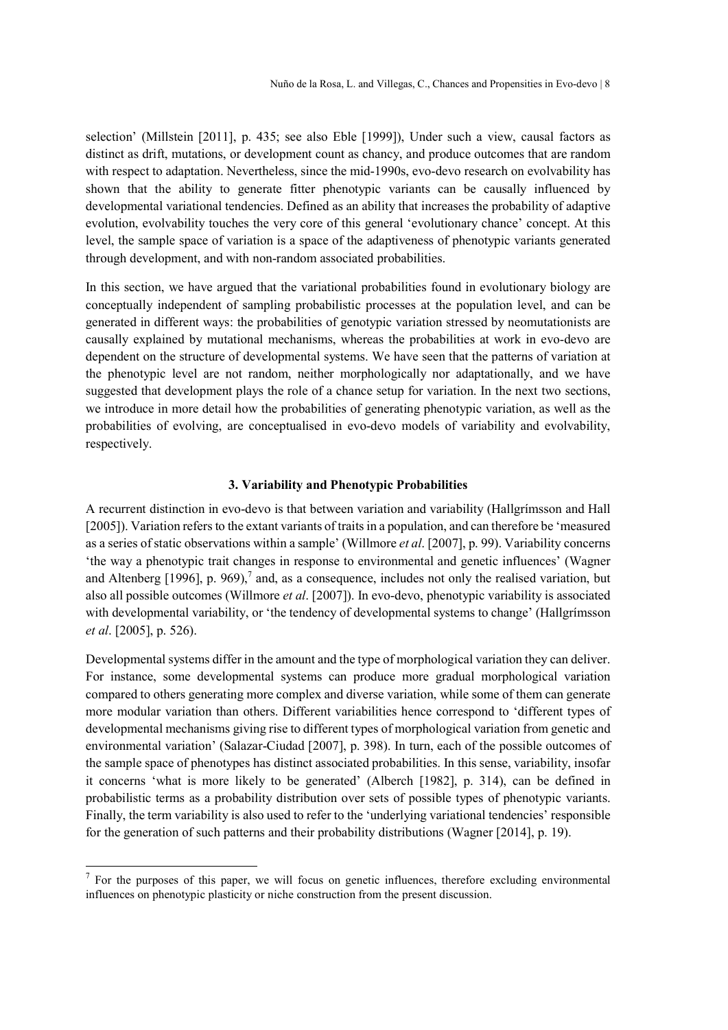selection' (Millstein [2011], p. 435; see also Eble [1999]), Under such a view, causal factors as distinct as drift, mutations, or development count as chancy, and produce outcomes that are random with respect to adaptation. Nevertheless, since the mid-1990s, evo-devo research on evolvability has shown that the ability to generate fitter phenotypic variants can be causally influenced by developmental variational tendencies. Defined as an ability that increases the probability of adaptive evolution, evolvability touches the very core of this general 'evolutionary chance' concept. At this level, the sample space of variation is a space of the adaptiveness of phenotypic variants generated through development, and with non-random associated probabilities.

In this section, we have argued that the variational probabilities found in evolutionary biology are conceptually independent of sampling probabilistic processes at the population level, and can be generated in different ways: the probabilities of genotypic variation stressed by neomutationists are causally explained by mutational mechanisms, whereas the probabilities at work in evo-devo are dependent on the structure of developmental systems. We have seen that the patterns of variation at the phenotypic level are not random, neither morphologically nor adaptationally, and we have suggested that development plays the role of a chance setup for variation. In the next two sections, we introduce in more detail how the probabilities of generating phenotypic variation, as well as the probabilities of evolving, are conceptualised in evo-devo models of variability and evolvability, respectively.

# 3. Variability and Phenotypic Probabilities

A recurrent distinction in evo-devo is that between variation and variability (Hallgrímsson and Hall [2005]). Variation refers to the extant variants of traits in a population, and can therefore be 'measured as a series of static observations within a sample' (Willmore et al. [2007], p. 99). Variability concerns 'the way a phenotypic trait changes in response to environmental and genetic influences' (Wagner and Altenberg [1996], p. 969),<sup>7</sup> and, as a consequence, includes not only the realised variation, but also all possible outcomes (Willmore et al. [2007]). In evo-devo, phenotypic variability is associated with developmental variability, or 'the tendency of developmental systems to change' (Hallgrímsson et al. [2005], p. 526).

Developmental systems differ in the amount and the type of morphological variation they can deliver. For instance, some developmental systems can produce more gradual morphological variation compared to others generating more complex and diverse variation, while some of them can generate more modular variation than others. Different variabilities hence correspond to 'different types of developmental mechanisms giving rise to different types of morphological variation from genetic and environmental variation' (Salazar-Ciudad [2007], p. 398). In turn, each of the possible outcomes of the sample space of phenotypes has distinct associated probabilities. In this sense, variability, insofar it concerns 'what is more likely to be generated' (Alberch [1982], p. 314), can be defined in probabilistic terms as a probability distribution over sets of possible types of phenotypic variants. Finally, the term variability is also used to refer to the 'underlying variational tendencies' responsible for the generation of such patterns and their probability distributions (Wagner [2014], p. 19).

 $<sup>7</sup>$  For the purposes of this paper, we will focus on genetic influences, therefore excluding environmental</sup> influences on phenotypic plasticity or niche construction from the present discussion.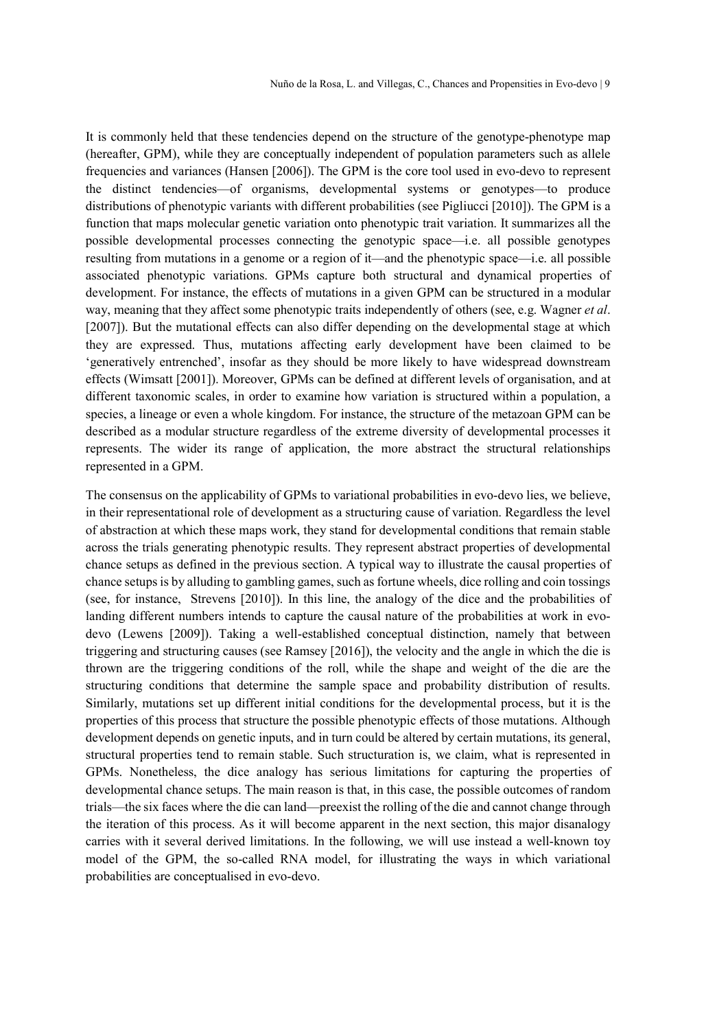It is commonly held that these tendencies depend on the structure of the genotype-phenotype map (hereafter, GPM), while they are conceptually independent of population parameters such as allele frequencies and variances (Hansen [2006]). The GPM is the core tool used in evo-devo to represent the distinct tendencies—of organisms, developmental systems or genotypes—to produce distributions of phenotypic variants with different probabilities (see Pigliucci [2010]). The GPM is a function that maps molecular genetic variation onto phenotypic trait variation. It summarizes all the possible developmental processes connecting the genotypic space—i.e. all possible genotypes resulting from mutations in a genome or a region of it—and the phenotypic space—i.e. all possible associated phenotypic variations. GPMs capture both structural and dynamical properties of development. For instance, the effects of mutations in a given GPM can be structured in a modular way, meaning that they affect some phenotypic traits independently of others (see, e.g. Wagner *et al.* [2007]). But the mutational effects can also differ depending on the developmental stage at which they are expressed. Thus, mutations affecting early development have been claimed to be 'generatively entrenched', insofar as they should be more likely to have widespread downstream effects (Wimsatt [2001]). Moreover, GPMs can be defined at different levels of organisation, and at different taxonomic scales, in order to examine how variation is structured within a population, a species, a lineage or even a whole kingdom. For instance, the structure of the metazoan GPM can be described as a modular structure regardless of the extreme diversity of developmental processes it represents. The wider its range of application, the more abstract the structural relationships represented in a GPM.

The consensus on the applicability of GPMs to variational probabilities in evo-devo lies, we believe, in their representational role of development as a structuring cause of variation. Regardless the level of abstraction at which these maps work, they stand for developmental conditions that remain stable across the trials generating phenotypic results. They represent abstract properties of developmental chance setups as defined in the previous section. A typical way to illustrate the causal properties of chance setups is by alluding to gambling games, such as fortune wheels, dice rolling and coin tossings (see, for instance, Strevens [2010]). In this line, the analogy of the dice and the probabilities of landing different numbers intends to capture the causal nature of the probabilities at work in evodevo (Lewens [2009]). Taking a well-established conceptual distinction, namely that between triggering and structuring causes (see Ramsey [2016]), the velocity and the angle in which the die is thrown are the triggering conditions of the roll, while the shape and weight of the die are the structuring conditions that determine the sample space and probability distribution of results. Similarly, mutations set up different initial conditions for the developmental process, but it is the properties of this process that structure the possible phenotypic effects of those mutations. Although development depends on genetic inputs, and in turn could be altered by certain mutations, its general, structural properties tend to remain stable. Such structuration is, we claim, what is represented in GPMs. Nonetheless, the dice analogy has serious limitations for capturing the properties of developmental chance setups. The main reason is that, in this case, the possible outcomes of random trials—the six faces where the die can land—preexist the rolling of the die and cannot change through the iteration of this process. As it will become apparent in the next section, this major disanalogy carries with it several derived limitations. In the following, we will use instead a well-known toy model of the GPM, the so-called RNA model, for illustrating the ways in which variational probabilities are conceptualised in evo-devo.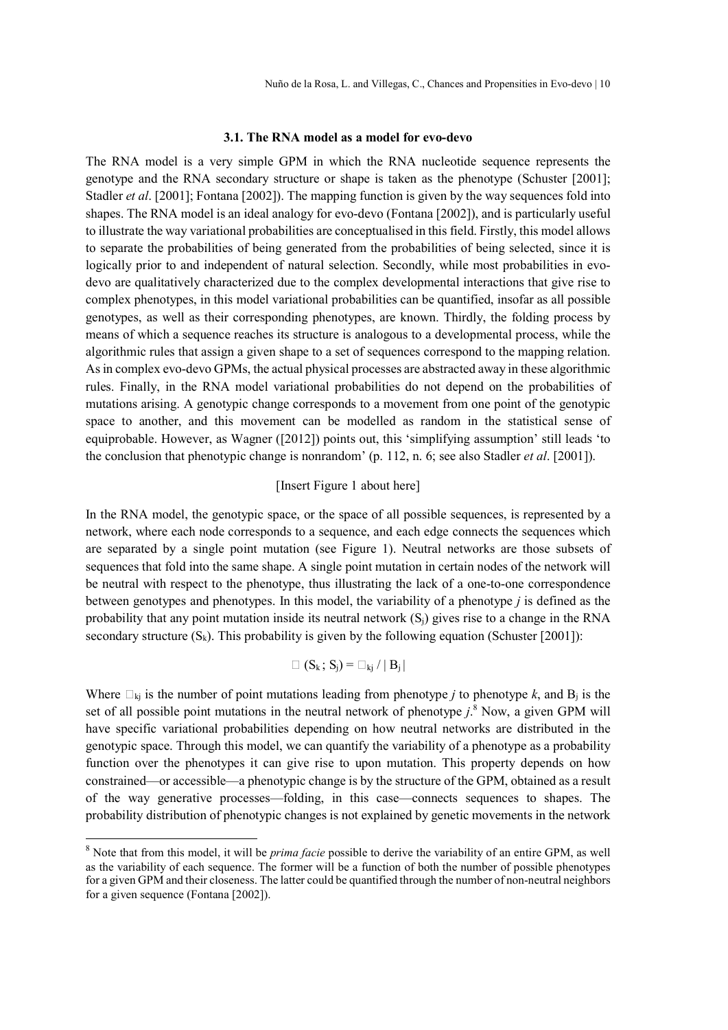#### 3.1. The RNA model as a model for evo-devo

The RNA model is a very simple GPM in which the RNA nucleotide sequence represents the genotype and the RNA secondary structure or shape is taken as the phenotype (Schuster [2001]; Stadler *et al.* [2001]; Fontana [2002]). The mapping function is given by the way sequences fold into shapes. The RNA model is an ideal analogy for evo-devo (Fontana [2002]), and is particularly useful to illustrate the way variational probabilities are conceptualised in this field. Firstly, this model allows to separate the probabilities of being generated from the probabilities of being selected, since it is logically prior to and independent of natural selection. Secondly, while most probabilities in evodevo are qualitatively characterized due to the complex developmental interactions that give rise to complex phenotypes, in this model variational probabilities can be quantified, insofar as all possible genotypes, as well as their corresponding phenotypes, are known. Thirdly, the folding process by means of which a sequence reaches its structure is analogous to a developmental process, while the algorithmic rules that assign a given shape to a set of sequences correspond to the mapping relation. As in complex evo-devo GPMs, the actual physical processes are abstracted away in these algorithmic rules. Finally, in the RNA model variational probabilities do not depend on the probabilities of mutations arising. A genotypic change corresponds to a movement from one point of the genotypic space to another, and this movement can be modelled as random in the statistical sense of equiprobable. However, as Wagner ([2012]) points out, this 'simplifying assumption' still leads 'to the conclusion that phenotypic change is nonrandom' (p. 112, n. 6; see also Stadler *et al.* [2001]).

# [Insert Figure 1 about here]

In the RNA model, the genotypic space, or the space of all possible sequences, is represented by a network, where each node corresponds to a sequence, and each edge connects the sequences which are separated by a single point mutation (see Figure 1). Neutral networks are those subsets of sequences that fold into the same shape. A single point mutation in certain nodes of the network will be neutral with respect to the phenotype, thus illustrating the lack of a one-to-one correspondence between genotypes and phenotypes. In this model, the variability of a phenotype j is defined as the probability that any point mutation inside its neutral network  $(S_i)$  gives rise to a change in the RNA secondary structure  $(S_k)$ . This probability is given by the following equation (Schuster [2001]):

$$
\square (S_k; S_j) = \square_{kj} / |B_j|
$$

Where  $\Box_{ki}$  is the number of point mutations leading from phenotype *j* to phenotype *k*, and B<sub>i</sub> is the set of all possible point mutations in the neutral network of phenotype  $j$ .<sup>8</sup> Now, a given GPM will have specific variational probabilities depending on how neutral networks are distributed in the genotypic space. Through this model, we can quantify the variability of a phenotype as a probability function over the phenotypes it can give rise to upon mutation. This property depends on how constrained—or accessible—a phenotypic change is by the structure of the GPM, obtained as a result of the way generative processes—folding, in this case—connects sequences to shapes. The probability distribution of phenotypic changes is not explained by genetic movements in the network

 $8$  Note that from this model, it will be *prima facie* possible to derive the variability of an entire GPM, as well as the variability of each sequence. The former will be a function of both the number of possible phenotypes for a given GPM and their closeness. The latter could be quantified through the number of non-neutral neighbors for a given sequence (Fontana [2002]).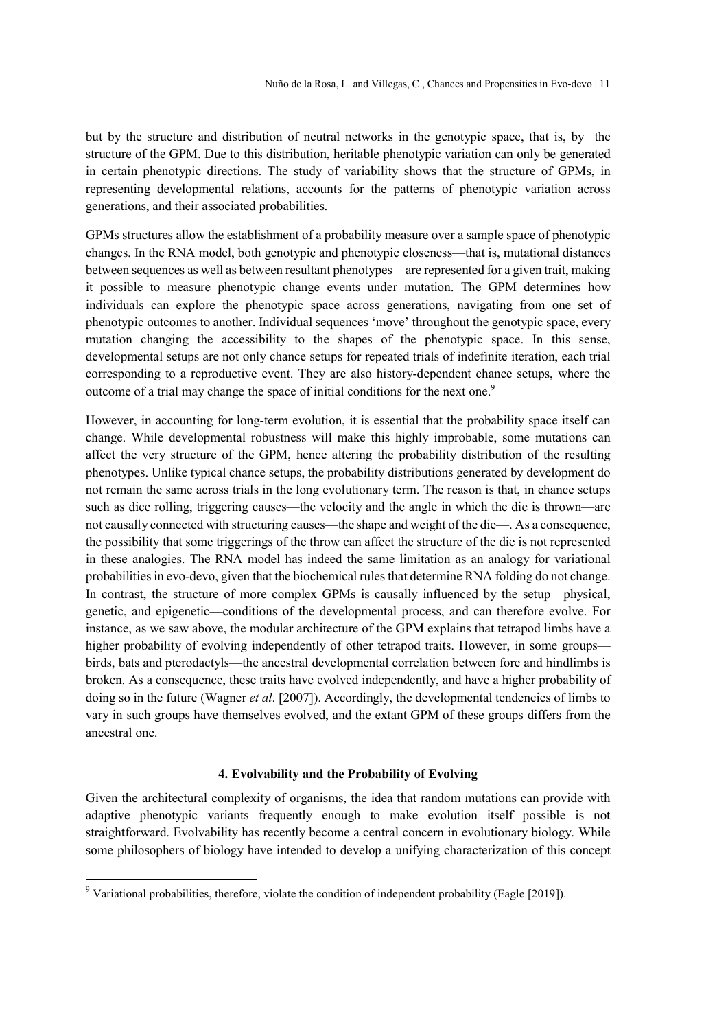but by the structure and distribution of neutral networks in the genotypic space, that is, by the structure of the GPM. Due to this distribution, heritable phenotypic variation can only be generated in certain phenotypic directions. The study of variability shows that the structure of GPMs, in representing developmental relations, accounts for the patterns of phenotypic variation across generations, and their associated probabilities.

GPMs structures allow the establishment of a probability measure over a sample space of phenotypic changes. In the RNA model, both genotypic and phenotypic closeness—that is, mutational distances between sequences as well as between resultant phenotypes—are represented for a given trait, making it possible to measure phenotypic change events under mutation. The GPM determines how individuals can explore the phenotypic space across generations, navigating from one set of phenotypic outcomes to another. Individual sequences 'move' throughout the genotypic space, every mutation changing the accessibility to the shapes of the phenotypic space. In this sense, developmental setups are not only chance setups for repeated trials of indefinite iteration, each trial corresponding to a reproductive event. They are also history-dependent chance setups, where the outcome of a trial may change the space of initial conditions for the next one.<sup>9</sup>

However, in accounting for long-term evolution, it is essential that the probability space itself can change. While developmental robustness will make this highly improbable, some mutations can affect the very structure of the GPM, hence altering the probability distribution of the resulting phenotypes. Unlike typical chance setups, the probability distributions generated by development do not remain the same across trials in the long evolutionary term. The reason is that, in chance setups such as dice rolling, triggering causes—the velocity and the angle in which the die is thrown—are not causally connected with structuring causes—the shape and weight of the die—. As a consequence, the possibility that some triggerings of the throw can affect the structure of the die is not represented in these analogies. The RNA model has indeed the same limitation as an analogy for variational probabilities in evo-devo, given that the biochemical rules that determine RNA folding do not change. In contrast, the structure of more complex GPMs is causally influenced by the setup—physical, genetic, and epigenetic—conditions of the developmental process, and can therefore evolve. For instance, as we saw above, the modular architecture of the GPM explains that tetrapod limbs have a higher probability of evolving independently of other tetrapod traits. However, in some groups birds, bats and pterodactyls—the ancestral developmental correlation between fore and hindlimbs is broken. As a consequence, these traits have evolved independently, and have a higher probability of doing so in the future (Wagner et al. [2007]). Accordingly, the developmental tendencies of limbs to vary in such groups have themselves evolved, and the extant GPM of these groups differs from the ancestral one.

# 4. Evolvability and the Probability of Evolving

Given the architectural complexity of organisms, the idea that random mutations can provide with adaptive phenotypic variants frequently enough to make evolution itself possible is not straightforward. Evolvability has recently become a central concern in evolutionary biology. While some philosophers of biology have intended to develop a unifying characterization of this concept

<sup>&</sup>lt;sup>9</sup> Variational probabilities, therefore, violate the condition of independent probability (Eagle [2019]).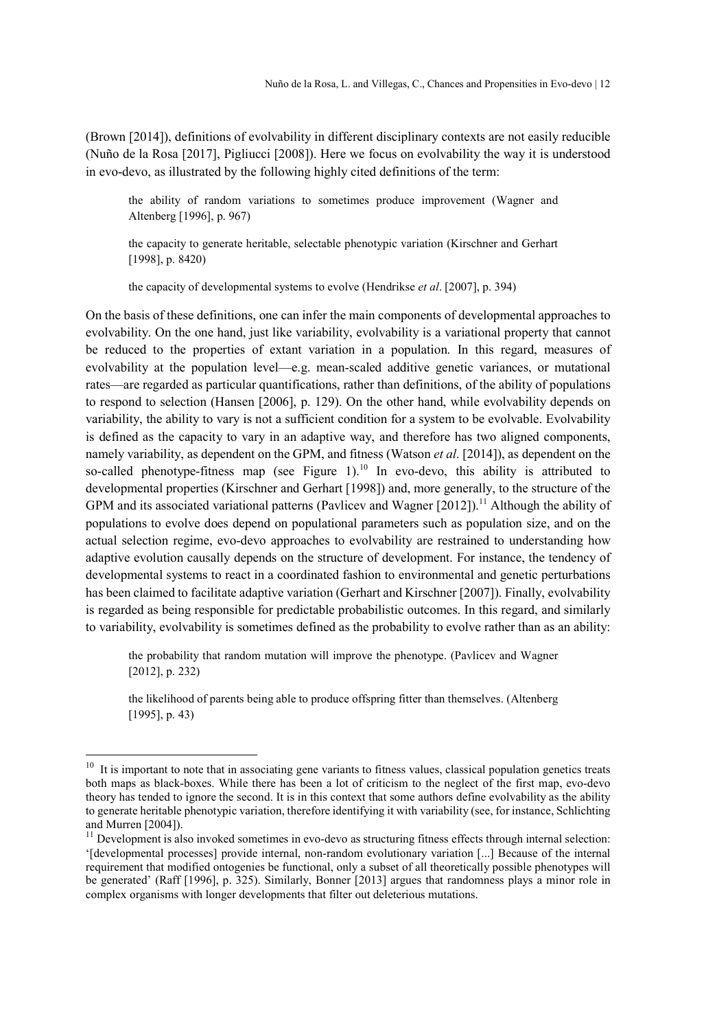(Brown [2014]), definitions of evolvability in different disciplinary contexts are not easily reducible (Nuño de la Rosa [2017], Pigliucci [2008]). Here we focus on evolvability the way it is understood in evo-devo, as illustrated by the following highly cited definitions of the term:

the ability of random variations to sometimes produce improvement (Wagner and Altenberg [1996], p. 967)

the capacity to generate heritable, selectable phenotypic variation (Kirschner and Gerhart [1998], p. 8420)

the capacity of developmental systems to evolve (Hendrikse et al. [2007], p. 394)

On the basis of these definitions, one can infer the main components of developmental approaches to evolvability. On the one hand, just like variability, evolvability is a variational property that cannot be reduced to the properties of extant variation in a population. In this regard, measures of evolvability at the population level—e.g. mean-scaled additive genetic variances, or mutational rates—are regarded as particular quantifications, rather than definitions, of the ability of populations to respond to selection (Hansen [2006], p. 129). On the other hand, while evolvability depends on variability, the ability to vary is not a sufficient condition for a system to be evolvable. Evolvability is defined as the capacity to vary in an adaptive way, and therefore has two aligned components, namely variability, as dependent on the GPM, and fitness (Watson *et al.* [2014]), as dependent on the so-called phenotype-fitness map (see Figure 1).<sup>10</sup> In evo-devo, this ability is attributed to developmental properties (Kirschner and Gerhart [1998]) and, more generally, to the structure of the GPM and its associated variational patterns (Pavlicev and Wagner [2012]).<sup>11</sup> Although the ability of populations to evolve does depend on populational parameters such as population size, and on the actual selection regime, evo-devo approaches to evolvability are restrained to understanding how adaptive evolution causally depends on the structure of development. For instance, the tendency of developmental systems to react in a coordinated fashion to environmental and genetic perturbations has been claimed to facilitate adaptive variation (Gerhart and Kirschner [2007]). Finally, evolvability is regarded as being responsible for predictable probabilistic outcomes. In this regard, and similarly to variability, evolvability is sometimes defined as the probability to evolve rather than as an ability:

the probability that random mutation will improve the phenotype. (Pavlicev and Wagner [2012], p. 232)

the likelihood of parents being able to produce offspring fitter than themselves. (Altenberg [1995], p. 43)

 $10$  It is important to note that in associating gene variants to fitness values, classical population genetics treats both maps as black-boxes. While there has been a lot of criticism to the neglect of the first map, evo-devo theory has tended to ignore the second. It is in this context that some authors define evolvability as the ability to generate heritable phenotypic variation, therefore identifying it with variability (see, for instance, Schlichting and Murren [2004]).

 $11$  Development is also invoked sometimes in evo-devo as structuring fitness effects through internal selection: '[developmental processes] provide internal, non-random evolutionary variation [...] Because of the internal requirement that modified ontogenies be functional, only a subset of all theoretically possible phenotypes will be generated' (Raff [1996], p. 325). Similarly, Bonner [2013] argues that randomness plays a minor role in complex organisms with longer developments that filter out deleterious mutations.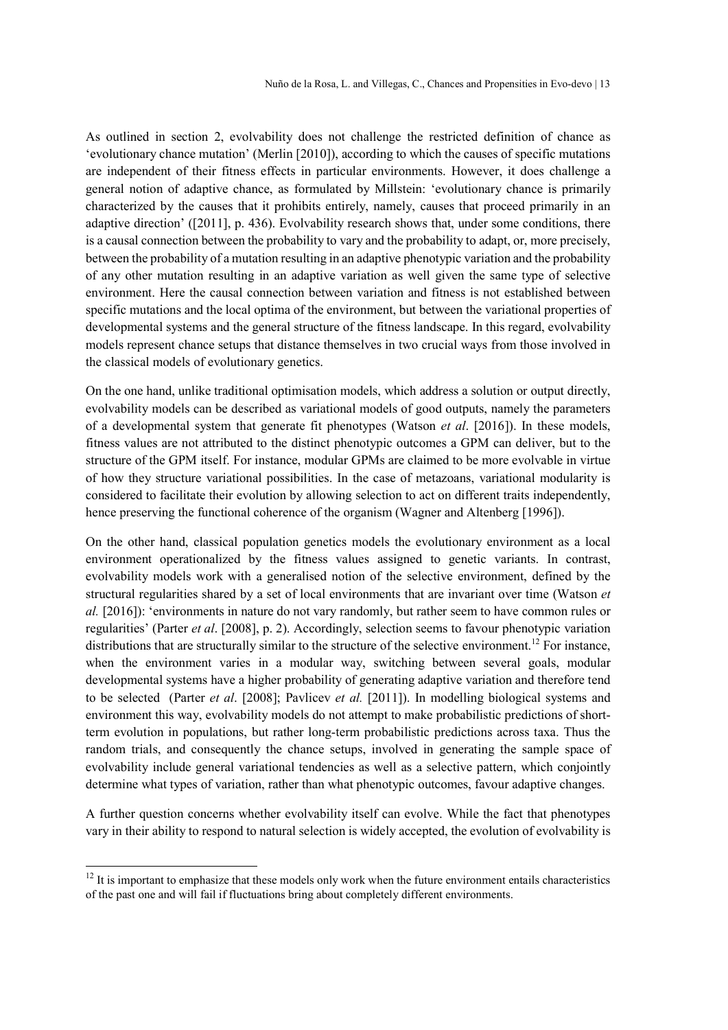As outlined in section 2, evolvability does not challenge the restricted definition of chance as 'evolutionary chance mutation' (Merlin [2010]), according to which the causes of specific mutations are independent of their fitness effects in particular environments. However, it does challenge a general notion of adaptive chance, as formulated by Millstein: 'evolutionary chance is primarily characterized by the causes that it prohibits entirely, namely, causes that proceed primarily in an adaptive direction' ([2011], p. 436). Evolvability research shows that, under some conditions, there is a causal connection between the probability to vary and the probability to adapt, or, more precisely, between the probability of a mutation resulting in an adaptive phenotypic variation and the probability of any other mutation resulting in an adaptive variation as well given the same type of selective environment. Here the causal connection between variation and fitness is not established between specific mutations and the local optima of the environment, but between the variational properties of developmental systems and the general structure of the fitness landscape. In this regard, evolvability models represent chance setups that distance themselves in two crucial ways from those involved in the classical models of evolutionary genetics.

On the one hand, unlike traditional optimisation models, which address a solution or output directly, evolvability models can be described as variational models of good outputs, namely the parameters of a developmental system that generate fit phenotypes (Watson *et al.* [2016]). In these models, fitness values are not attributed to the distinct phenotypic outcomes a GPM can deliver, but to the structure of the GPM itself. For instance, modular GPMs are claimed to be more evolvable in virtue of how they structure variational possibilities. In the case of metazoans, variational modularity is considered to facilitate their evolution by allowing selection to act on different traits independently, hence preserving the functional coherence of the organism (Wagner and Altenberg [1996]).

On the other hand, classical population genetics models the evolutionary environment as a local environment operationalized by the fitness values assigned to genetic variants. In contrast, evolvability models work with a generalised notion of the selective environment, defined by the structural regularities shared by a set of local environments that are invariant over time (Watson et al. [2016]): 'environments in nature do not vary randomly, but rather seem to have common rules or regularities' (Parter et al. [2008], p. 2). Accordingly, selection seems to favour phenotypic variation distributions that are structurally similar to the structure of the selective environment.<sup>12</sup> For instance, when the environment varies in a modular way, switching between several goals, modular developmental systems have a higher probability of generating adaptive variation and therefore tend to be selected (Parter et al. [2008]; Pavlicev et al. [2011]). In modelling biological systems and environment this way, evolvability models do not attempt to make probabilistic predictions of shortterm evolution in populations, but rather long-term probabilistic predictions across taxa. Thus the random trials, and consequently the chance setups, involved in generating the sample space of evolvability include general variational tendencies as well as a selective pattern, which conjointly determine what types of variation, rather than what phenotypic outcomes, favour adaptive changes.

A further question concerns whether evolvability itself can evolve. While the fact that phenotypes vary in their ability to respond to natural selection is widely accepted, the evolution of evolvability is

 $12$  It is important to emphasize that these models only work when the future environment entails characteristics of the past one and will fail if fluctuations bring about completely different environments.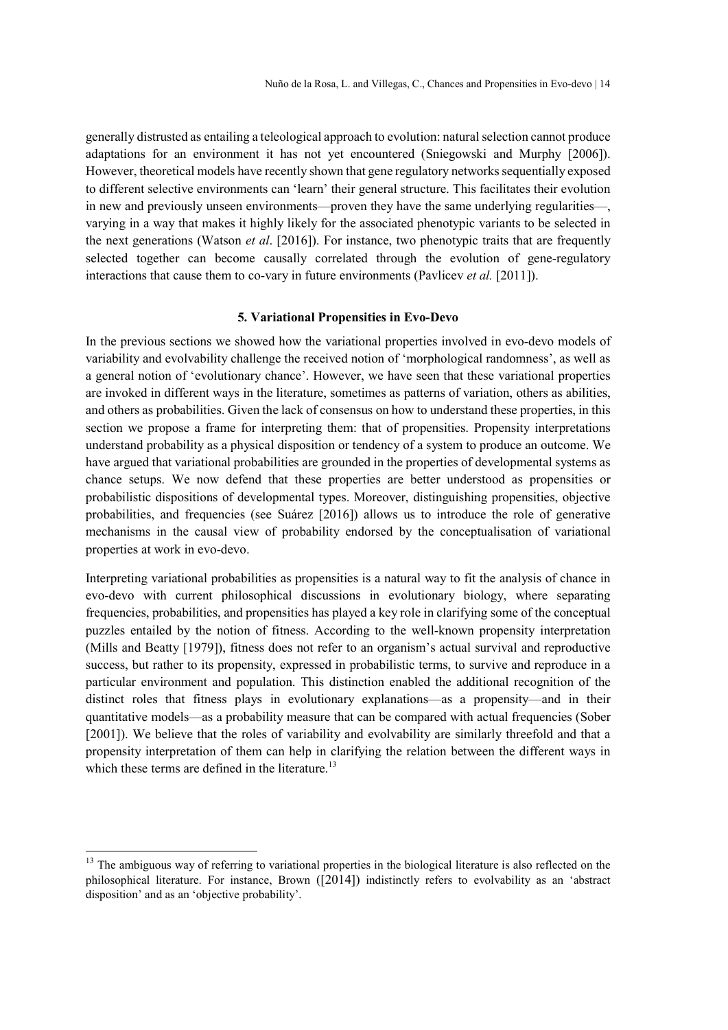generally distrusted as entailing a teleological approach to evolution: natural selection cannot produce adaptations for an environment it has not yet encountered (Sniegowski and Murphy [2006]). However, theoretical models have recently shown that gene regulatory networks sequentially exposed to different selective environments can 'learn' their general structure. This facilitates their evolution in new and previously unseen environments—proven they have the same underlying regularities—, varying in a way that makes it highly likely for the associated phenotypic variants to be selected in the next generations (Watson et al. [2016]). For instance, two phenotypic traits that are frequently selected together can become causally correlated through the evolution of gene-regulatory interactions that cause them to co-vary in future environments (Pavlicev *et al.* [2011]).

# 5. Variational Propensities in Evo-Devo

In the previous sections we showed how the variational properties involved in evo-devo models of variability and evolvability challenge the received notion of 'morphological randomness', as well as a general notion of 'evolutionary chance'. However, we have seen that these variational properties are invoked in different ways in the literature, sometimes as patterns of variation, others as abilities, and others as probabilities. Given the lack of consensus on how to understand these properties, in this section we propose a frame for interpreting them: that of propensities. Propensity interpretations understand probability as a physical disposition or tendency of a system to produce an outcome. We have argued that variational probabilities are grounded in the properties of developmental systems as chance setups. We now defend that these properties are better understood as propensities or probabilistic dispositions of developmental types. Moreover, distinguishing propensities, objective probabilities, and frequencies (see Suárez [2016]) allows us to introduce the role of generative mechanisms in the causal view of probability endorsed by the conceptualisation of variational properties at work in evo-devo.

Interpreting variational probabilities as propensities is a natural way to fit the analysis of chance in evo-devo with current philosophical discussions in evolutionary biology, where separating frequencies, probabilities, and propensities has played a key role in clarifying some of the conceptual puzzles entailed by the notion of fitness. According to the well-known propensity interpretation (Mills and Beatty [1979]), fitness does not refer to an organism's actual survival and reproductive success, but rather to its propensity, expressed in probabilistic terms, to survive and reproduce in a particular environment and population. This distinction enabled the additional recognition of the distinct roles that fitness plays in evolutionary explanations—as a propensity—and in their quantitative models—as a probability measure that can be compared with actual frequencies (Sober [2001]). We believe that the roles of variability and evolvability are similarly threefold and that a propensity interpretation of them can help in clarifying the relation between the different ways in which these terms are defined in the literature.<sup>13</sup>

 $13$  The ambiguous way of referring to variational properties in the biological literature is also reflected on the philosophical literature. For instance, Brown ([2014]) indistinctly refers to evolvability as an 'abstract disposition' and as an 'objective probability'.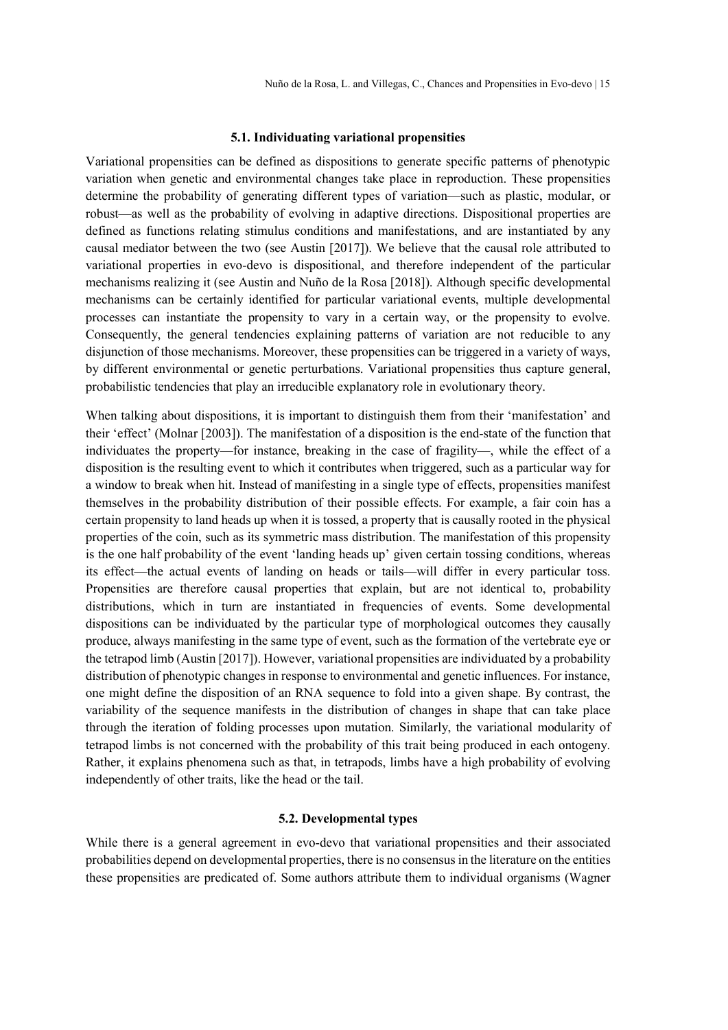#### 5.1. Individuating variational propensities

Variational propensities can be defined as dispositions to generate specific patterns of phenotypic variation when genetic and environmental changes take place in reproduction. These propensities determine the probability of generating different types of variation—such as plastic, modular, or robust—as well as the probability of evolving in adaptive directions. Dispositional properties are defined as functions relating stimulus conditions and manifestations, and are instantiated by any causal mediator between the two (see Austin [2017]). We believe that the causal role attributed to variational properties in evo-devo is dispositional, and therefore independent of the particular mechanisms realizing it (see Austin and Nuño de la Rosa [2018]). Although specific developmental mechanisms can be certainly identified for particular variational events, multiple developmental processes can instantiate the propensity to vary in a certain way, or the propensity to evolve. Consequently, the general tendencies explaining patterns of variation are not reducible to any disjunction of those mechanisms. Moreover, these propensities can be triggered in a variety of ways, by different environmental or genetic perturbations. Variational propensities thus capture general, probabilistic tendencies that play an irreducible explanatory role in evolutionary theory.

When talking about dispositions, it is important to distinguish them from their 'manifestation' and their 'effect' (Molnar [2003]). The manifestation of a disposition is the end-state of the function that individuates the property—for instance, breaking in the case of fragility—, while the effect of a disposition is the resulting event to which it contributes when triggered, such as a particular way for a window to break when hit. Instead of manifesting in a single type of effects, propensities manifest themselves in the probability distribution of their possible effects. For example, a fair coin has a certain propensity to land heads up when it is tossed, a property that is causally rooted in the physical properties of the coin, such as its symmetric mass distribution. The manifestation of this propensity is the one half probability of the event 'landing heads up' given certain tossing conditions, whereas its effect—the actual events of landing on heads or tails—will differ in every particular toss. Propensities are therefore causal properties that explain, but are not identical to, probability distributions, which in turn are instantiated in frequencies of events. Some developmental dispositions can be individuated by the particular type of morphological outcomes they causally produce, always manifesting in the same type of event, such as the formation of the vertebrate eye or the tetrapod limb (Austin [2017]). However, variational propensities are individuated by a probability distribution of phenotypic changes in response to environmental and genetic influences. For instance, one might define the disposition of an RNA sequence to fold into a given shape. By contrast, the variability of the sequence manifests in the distribution of changes in shape that can take place through the iteration of folding processes upon mutation. Similarly, the variational modularity of tetrapod limbs is not concerned with the probability of this trait being produced in each ontogeny. Rather, it explains phenomena such as that, in tetrapods, limbs have a high probability of evolving independently of other traits, like the head or the tail.

# 5.2. Developmental types

While there is a general agreement in evo-devo that variational propensities and their associated probabilities depend on developmental properties, there is no consensus in the literature on the entities these propensities are predicated of. Some authors attribute them to individual organisms (Wagner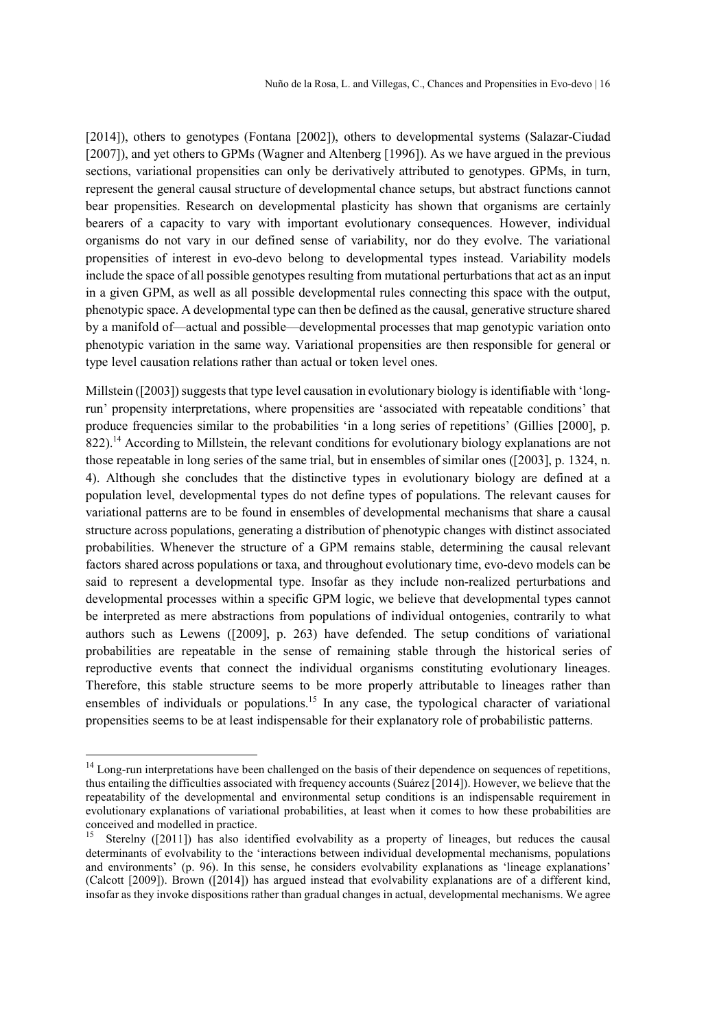[2014]), others to genotypes (Fontana [2002]), others to developmental systems (Salazar-Ciudad [2007]), and yet others to GPMs (Wagner and Altenberg [1996]). As we have argued in the previous sections, variational propensities can only be derivatively attributed to genotypes. GPMs, in turn, represent the general causal structure of developmental chance setups, but abstract functions cannot bear propensities. Research on developmental plasticity has shown that organisms are certainly bearers of a capacity to vary with important evolutionary consequences. However, individual organisms do not vary in our defined sense of variability, nor do they evolve. The variational propensities of interest in evo-devo belong to developmental types instead. Variability models include the space of all possible genotypes resulting from mutational perturbations that act as an input in a given GPM, as well as all possible developmental rules connecting this space with the output, phenotypic space. A developmental type can then be defined as the causal, generative structure shared by a manifold of—actual and possible—developmental processes that map genotypic variation onto phenotypic variation in the same way. Variational propensities are then responsible for general or type level causation relations rather than actual or token level ones.

Millstein ([2003]) suggests that type level causation in evolutionary biology is identifiable with 'longrun' propensity interpretations, where propensities are 'associated with repeatable conditions' that produce frequencies similar to the probabilities 'in a long series of repetitions' (Gillies [2000], p.  $822$ ).<sup>14</sup> According to Millstein, the relevant conditions for evolutionary biology explanations are not those repeatable in long series of the same trial, but in ensembles of similar ones ([2003], p. 1324, n. 4). Although she concludes that the distinctive types in evolutionary biology are defined at a population level, developmental types do not define types of populations. The relevant causes for variational patterns are to be found in ensembles of developmental mechanisms that share a causal structure across populations, generating a distribution of phenotypic changes with distinct associated probabilities. Whenever the structure of a GPM remains stable, determining the causal relevant factors shared across populations or taxa, and throughout evolutionary time, evo-devo models can be said to represent a developmental type. Insofar as they include non-realized perturbations and developmental processes within a specific GPM logic, we believe that developmental types cannot be interpreted as mere abstractions from populations of individual ontogenies, contrarily to what authors such as Lewens ([2009], p. 263) have defended. The setup conditions of variational probabilities are repeatable in the sense of remaining stable through the historical series of reproductive events that connect the individual organisms constituting evolutionary lineages. Therefore, this stable structure seems to be more properly attributable to lineages rather than ensembles of individuals or populations.<sup>15</sup> In any case, the typological character of variational propensities seems to be at least indispensable for their explanatory role of probabilistic patterns.

<sup>&</sup>lt;sup>14</sup> Long-run interpretations have been challenged on the basis of their dependence on sequences of repetitions, thus entailing the difficulties associated with frequency accounts (Suárez [2014]). However, we believe that the repeatability of the developmental and environmental setup conditions is an indispensable requirement in evolutionary explanations of variational probabilities, at least when it comes to how these probabilities are conceived and modelled in practice.

<sup>15</sup> Sterelny ([2011]) has also identified evolvability as a property of lineages, but reduces the causal determinants of evolvability to the 'interactions between individual developmental mechanisms, populations and environments' (p. 96). In this sense, he considers evolvability explanations as 'lineage explanations' (Calcott [2009]). Brown ([2014]) has argued instead that evolvability explanations are of a different kind, insofar as they invoke dispositions rather than gradual changes in actual, developmental mechanisms. We agree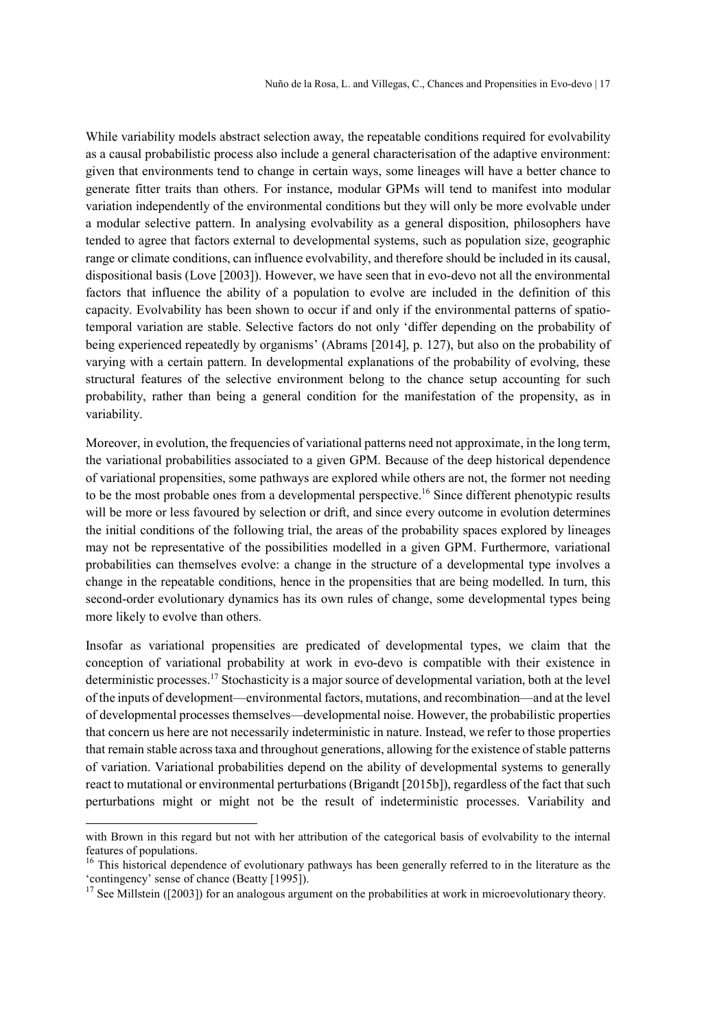While variability models abstract selection away, the repeatable conditions required for evolvability as a causal probabilistic process also include a general characterisation of the adaptive environment: given that environments tend to change in certain ways, some lineages will have a better chance to generate fitter traits than others. For instance, modular GPMs will tend to manifest into modular variation independently of the environmental conditions but they will only be more evolvable under a modular selective pattern. In analysing evolvability as a general disposition, philosophers have tended to agree that factors external to developmental systems, such as population size, geographic range or climate conditions, can influence evolvability, and therefore should be included in its causal, dispositional basis (Love [2003]). However, we have seen that in evo-devo not all the environmental factors that influence the ability of a population to evolve are included in the definition of this capacity. Evolvability has been shown to occur if and only if the environmental patterns of spatiotemporal variation are stable. Selective factors do not only 'differ depending on the probability of being experienced repeatedly by organisms' (Abrams [2014], p. 127), but also on the probability of varying with a certain pattern. In developmental explanations of the probability of evolving, these structural features of the selective environment belong to the chance setup accounting for such probability, rather than being a general condition for the manifestation of the propensity, as in variability.

Moreover, in evolution, the frequencies of variational patterns need not approximate, in the long term, the variational probabilities associated to a given GPM. Because of the deep historical dependence of variational propensities, some pathways are explored while others are not, the former not needing to be the most probable ones from a developmental perspective.<sup>16</sup> Since different phenotypic results will be more or less favoured by selection or drift, and since every outcome in evolution determines the initial conditions of the following trial, the areas of the probability spaces explored by lineages may not be representative of the possibilities modelled in a given GPM. Furthermore, variational probabilities can themselves evolve: a change in the structure of a developmental type involves a change in the repeatable conditions, hence in the propensities that are being modelled. In turn, this second-order evolutionary dynamics has its own rules of change, some developmental types being more likely to evolve than others.

Insofar as variational propensities are predicated of developmental types, we claim that the conception of variational probability at work in evo-devo is compatible with their existence in deterministic processes.<sup>17</sup> Stochasticity is a major source of developmental variation, both at the level of the inputs of development—environmental factors, mutations, and recombination—and at the level of developmental processes themselves—developmental noise. However, the probabilistic properties that concern us here are not necessarily indeterministic in nature. Instead, we refer to those properties that remain stable across taxa and throughout generations, allowing for the existence of stable patterns of variation. Variational probabilities depend on the ability of developmental systems to generally react to mutational or environmental perturbations (Brigandt [2015b]), regardless of the fact that such perturbations might or might not be the result of indeterministic processes. Variability and

with Brown in this regard but not with her attribution of the categorical basis of evolvability to the internal features of populations.

<sup>&</sup>lt;sup>16</sup> This historical dependence of evolutionary pathways has been generally referred to in the literature as the 'contingency' sense of chance (Beatty [1995]).

<sup>&</sup>lt;sup>17</sup> See Millstein ([2003]) for an analogous argument on the probabilities at work in microevolutionary theory.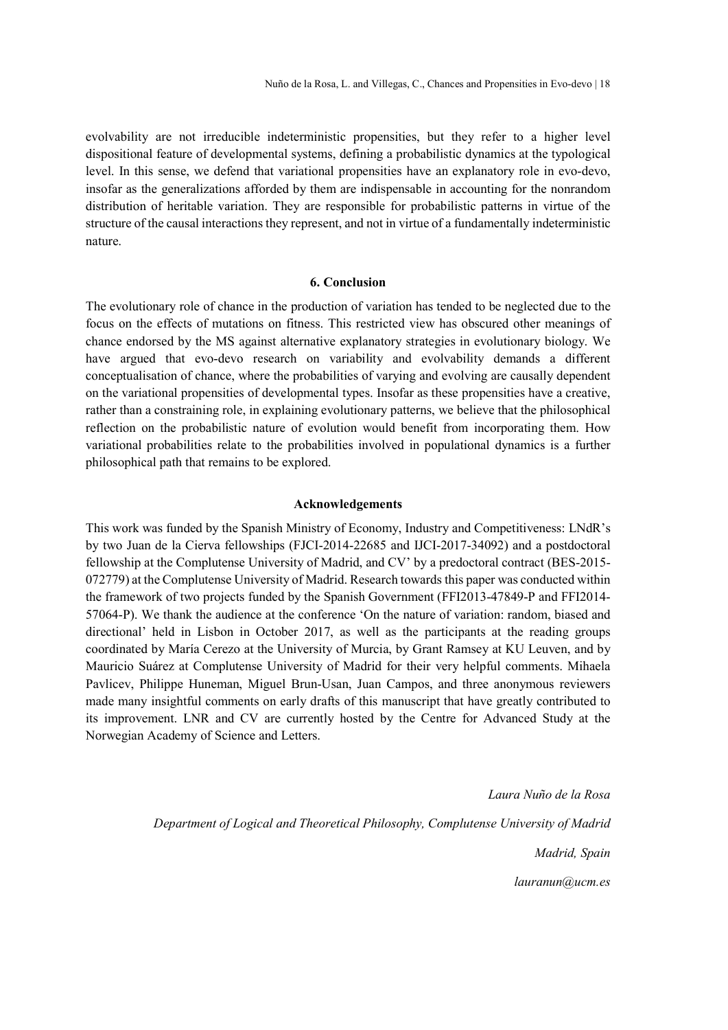evolvability are not irreducible indeterministic propensities, but they refer to a higher level dispositional feature of developmental systems, defining a probabilistic dynamics at the typological level. In this sense, we defend that variational propensities have an explanatory role in evo-devo, insofar as the generalizations afforded by them are indispensable in accounting for the nonrandom distribution of heritable variation. They are responsible for probabilistic patterns in virtue of the structure of the causal interactions they represent, and not in virtue of a fundamentally indeterministic nature.

# 6. Conclusion

The evolutionary role of chance in the production of variation has tended to be neglected due to the focus on the effects of mutations on fitness. This restricted view has obscured other meanings of chance endorsed by the MS against alternative explanatory strategies in evolutionary biology. We have argued that evo-devo research on variability and evolvability demands a different conceptualisation of chance, where the probabilities of varying and evolving are causally dependent on the variational propensities of developmental types. Insofar as these propensities have a creative, rather than a constraining role, in explaining evolutionary patterns, we believe that the philosophical reflection on the probabilistic nature of evolution would benefit from incorporating them. How variational probabilities relate to the probabilities involved in populational dynamics is a further philosophical path that remains to be explored.

#### Acknowledgements

This work was funded by the Spanish Ministry of Economy, Industry and Competitiveness: LNdR's by two Juan de la Cierva fellowships (FJCI-2014-22685 and IJCI-2017-34092) and a postdoctoral fellowship at the Complutense University of Madrid, and CV' by a predoctoral contract (BES-2015- 072779) at the Complutense University of Madrid. Research towards this paper was conducted within the framework of two projects funded by the Spanish Government (FFI2013-47849-P and FFI2014- 57064-P). We thank the audience at the conference 'On the nature of variation: random, biased and directional' held in Lisbon in October 2017, as well as the participants at the reading groups coordinated by María Cerezo at the University of Murcia, by Grant Ramsey at KU Leuven, and by Mauricio Suárez at Complutense University of Madrid for their very helpful comments. Mihaela Pavlicev, Philippe Huneman, Miguel Brun-Usan, Juan Campos, and three anonymous reviewers made many insightful comments on early drafts of this manuscript that have greatly contributed to its improvement. LNR and CV are currently hosted by the Centre for Advanced Study at the Norwegian Academy of Science and Letters.

> Laura Nuño de la Rosa Department of Logical and Theoretical Philosophy, Complutense University of Madrid Madrid, Spain lauranun@ucm.es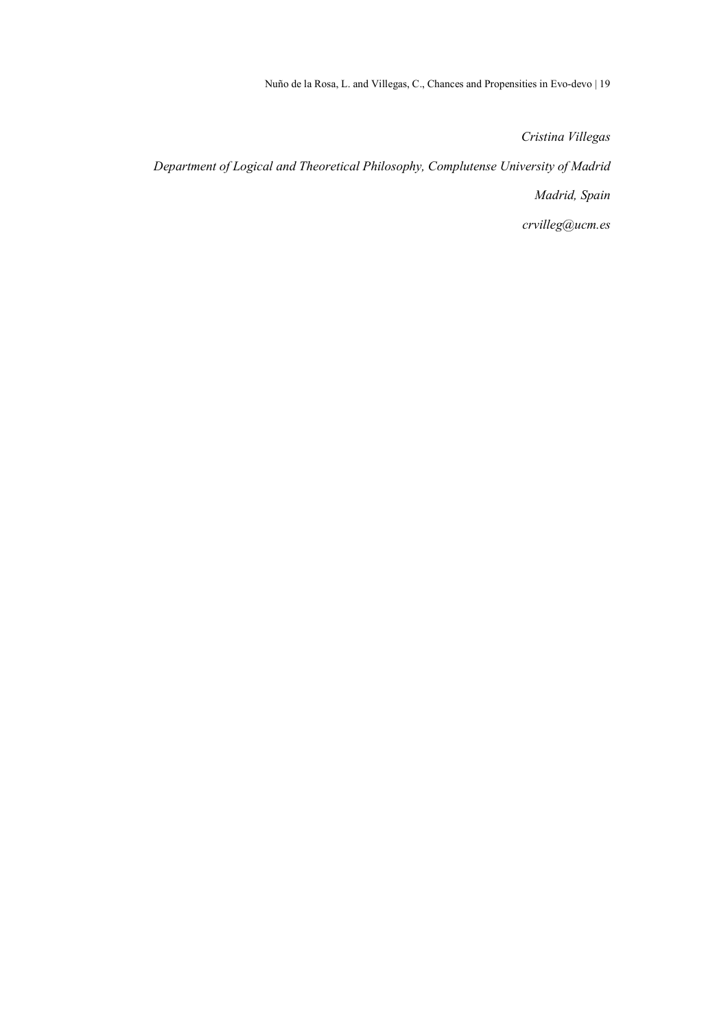Nuño de la Rosa, L. and Villegas, C., Chances and Propensities in Evo-devo | 19

Cristina Villegas

Department of Logical and Theoretical Philosophy, Complutense University of Madrid

Madrid, Spain

crvilleg@ucm.es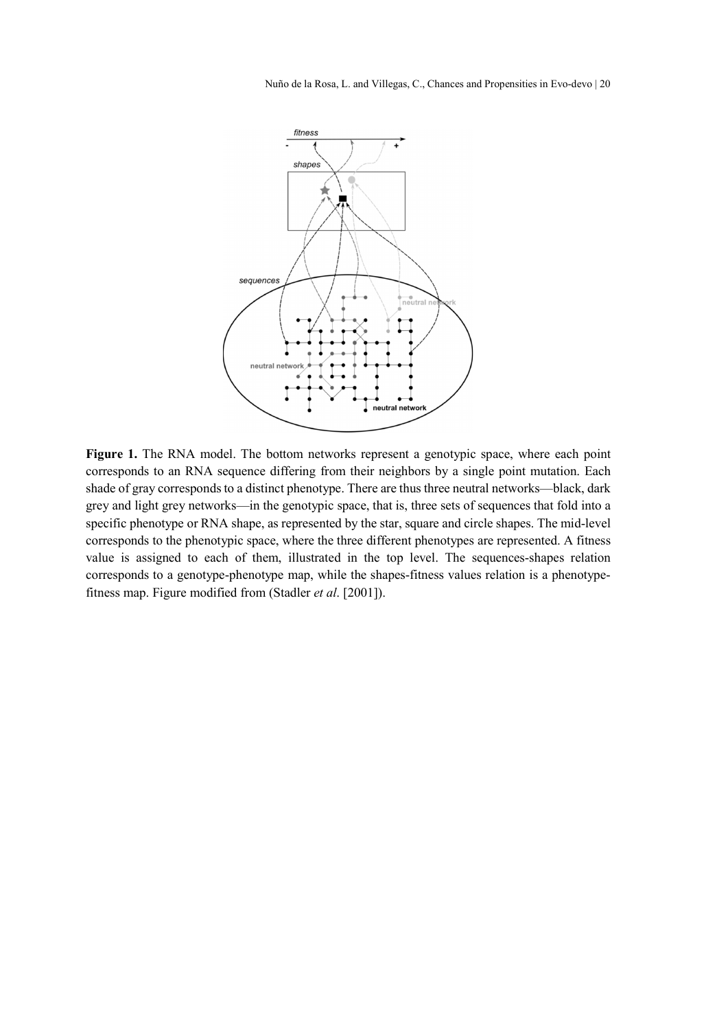Nuño de la Rosa, L. and Villegas, C., Chances and Propensities in Evo-devo | 20



Figure 1. The RNA model. The bottom networks represent a genotypic space, where each point corresponds to an RNA sequence differing from their neighbors by a single point mutation. Each shade of gray corresponds to a distinct phenotype. There are thus three neutral networks—black, dark grey and light grey networks—in the genotypic space, that is, three sets of sequences that fold into a specific phenotype or RNA shape, as represented by the star, square and circle shapes. The mid-level corresponds to the phenotypic space, where the three different phenotypes are represented. A fitness value is assigned to each of them, illustrated in the top level. The sequences-shapes relation corresponds to a genotype-phenotype map, while the shapes-fitness values relation is a phenotypefitness map. Figure modified from (Stadler et al. [2001]).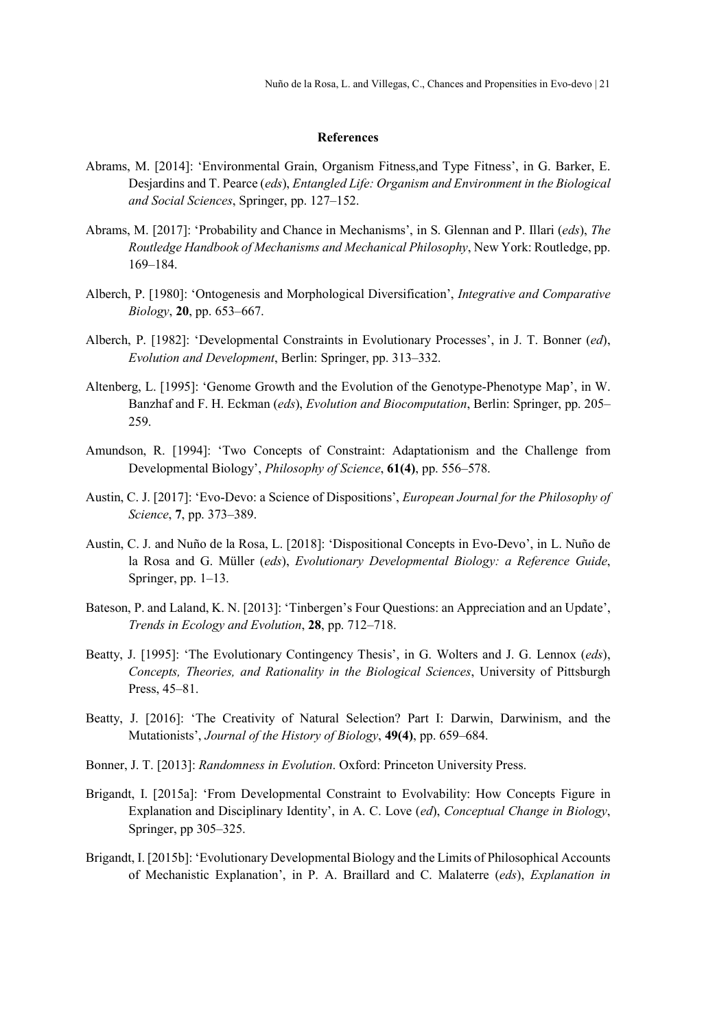### References

- Abrams, M. [2014]: 'Environmental Grain, Organism Fitness,and Type Fitness', in G. Barker, E. Desjardins and T. Pearce (eds), Entangled Life: Organism and Environment in the Biological and Social Sciences, Springer, pp. 127–152.
- Abrams, M. [2017]: 'Probability and Chance in Mechanisms', in S. Glennan and P. Illari (eds), The Routledge Handbook of Mechanisms and Mechanical Philosophy, New York: Routledge, pp. 169–184.
- Alberch, P. [1980]: 'Ontogenesis and Morphological Diversification', Integrative and Comparative Biology, 20, pp. 653–667.
- Alberch, P. [1982]: 'Developmental Constraints in Evolutionary Processes', in J. T. Bonner (ed), Evolution and Development, Berlin: Springer, pp. 313–332.
- Altenberg, L. [1995]: 'Genome Growth and the Evolution of the Genotype-Phenotype Map', in W. Banzhaf and F. H. Eckman (eds), Evolution and Biocomputation, Berlin: Springer, pp. 205– 259.
- Amundson, R. [1994]: 'Two Concepts of Constraint: Adaptationism and the Challenge from Developmental Biology', Philosophy of Science, 61(4), pp. 556–578.
- Austin, C. J. [2017]: 'Evo-Devo: a Science of Dispositions', European Journal for the Philosophy of Science, 7, pp. 373–389.
- Austin, C. J. and Nuño de la Rosa, L. [2018]: 'Dispositional Concepts in Evo-Devo', in L. Nuño de la Rosa and G. Müller (eds), Evolutionary Developmental Biology: a Reference Guide, Springer, pp. 1–13.
- Bateson, P. and Laland, K. N. [2013]: 'Tinbergen's Four Questions: an Appreciation and an Update', Trends in Ecology and Evolution, 28, pp. 712–718.
- Beatty, J. [1995]: 'The Evolutionary Contingency Thesis', in G. Wolters and J. G. Lennox (eds), Concepts, Theories, and Rationality in the Biological Sciences, University of Pittsburgh Press, 45–81.
- Beatty, J. [2016]: 'The Creativity of Natural Selection? Part I: Darwin, Darwinism, and the Mutationists', Journal of the History of Biology, 49(4), pp. 659–684.
- Bonner, J. T. [2013]: Randomness in Evolution. Oxford: Princeton University Press.
- Brigandt, I. [2015a]: 'From Developmental Constraint to Evolvability: How Concepts Figure in Explanation and Disciplinary Identity', in A. C. Love (ed), Conceptual Change in Biology, Springer, pp 305–325.
- Brigandt, I. [2015b]: 'Evolutionary Developmental Biology and the Limits of Philosophical Accounts of Mechanistic Explanation', in P. A. Braillard and C. Malaterre (eds), Explanation in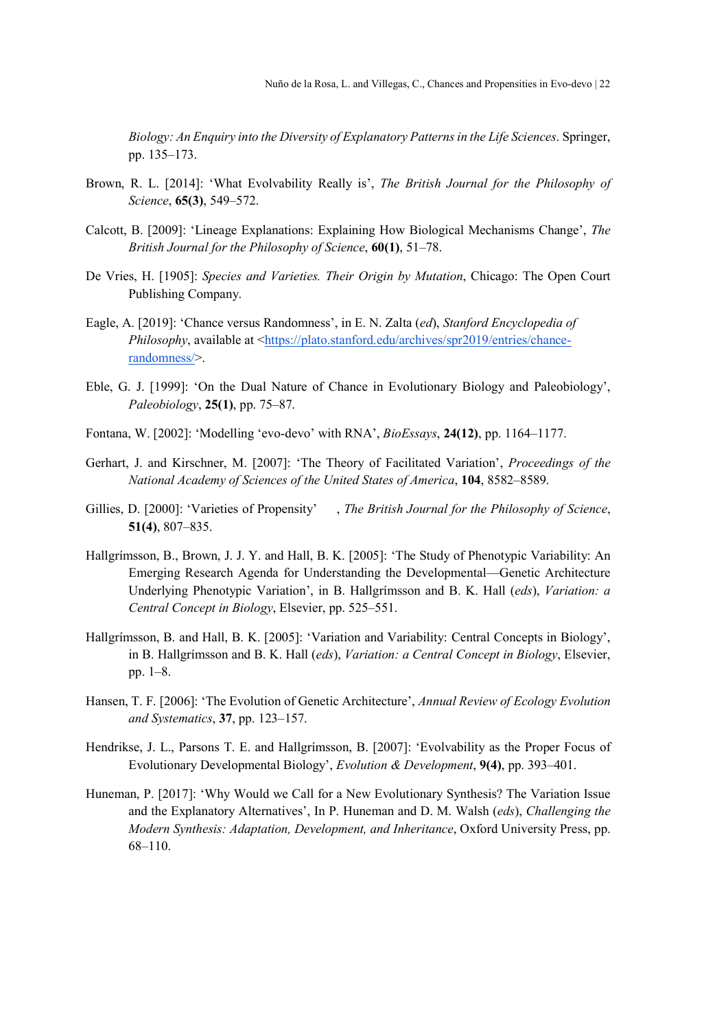Biology: An Enquiry into the Diversity of Explanatory Patterns in the Life Sciences. Springer, pp. 135–173.

- Brown, R. L. [2014]: 'What Evolvability Really is', The British Journal for the Philosophy of Science, 65(3), 549–572.
- Calcott, B. [2009]: 'Lineage Explanations: Explaining How Biological Mechanisms Change', The British Journal for the Philosophy of Science, 60(1), 51–78.
- De Vries, H. [1905]: Species and Varieties. Their Origin by Mutation, Chicago: The Open Court Publishing Company.
- Eagle, A. [2019]: 'Chance versus Randomness', in E. N. Zalta (ed), Stanford Encyclopedia of Philosophy, available at <https://plato.stanford.edu/archives/spr2019/entries/chancerandomness/>.
- Eble, G. J. [1999]: 'On the Dual Nature of Chance in Evolutionary Biology and Paleobiology', Paleobiology, 25(1), pp. 75–87.
- Fontana, W. [2002]: 'Modelling 'evo-devo' with RNA', BioEssays, 24(12), pp. 1164–1177.
- Gerhart, J. and Kirschner, M. [2007]: 'The Theory of Facilitated Variation', Proceedings of the National Academy of Sciences of the United States of America, 104, 8582–8589.
- Gillies, D. [2000]: 'Varieties of Propensity' , The British Journal for the Philosophy of Science, 51(4), 807–835.
- Hallgrímsson, B., Brown, J. J. Y. and Hall, B. K. [2005]: 'The Study of Phenotypic Variability: An Emerging Research Agenda for Understanding the Developmental—Genetic Architecture Underlying Phenotypic Variation', in B. Hallgrímsson and B. K. Hall (eds), Variation: a Central Concept in Biology, Elsevier, pp. 525–551.
- Hallgrímsson, B. and Hall, B. K. [2005]: 'Variation and Variability: Central Concepts in Biology', in B. Hallgrímsson and B. K. Hall (eds), Variation: a Central Concept in Biology, Elsevier, pp. 1–8.
- Hansen, T. F. [2006]: 'The Evolution of Genetic Architecture', Annual Review of Ecology Evolution and Systematics, 37, pp. 123–157.
- Hendrikse, J. L., Parsons T. E. and Hallgrímsson, B. [2007]: 'Evolvability as the Proper Focus of Evolutionary Developmental Biology', Evolution & Development, 9(4), pp. 393–401.
- Huneman, P. [2017]: 'Why Would we Call for a New Evolutionary Synthesis? The Variation Issue and the Explanatory Alternatives', In P. Huneman and D. M. Walsh (eds), Challenging the Modern Synthesis: Adaptation, Development, and Inheritance, Oxford University Press, pp. 68–110.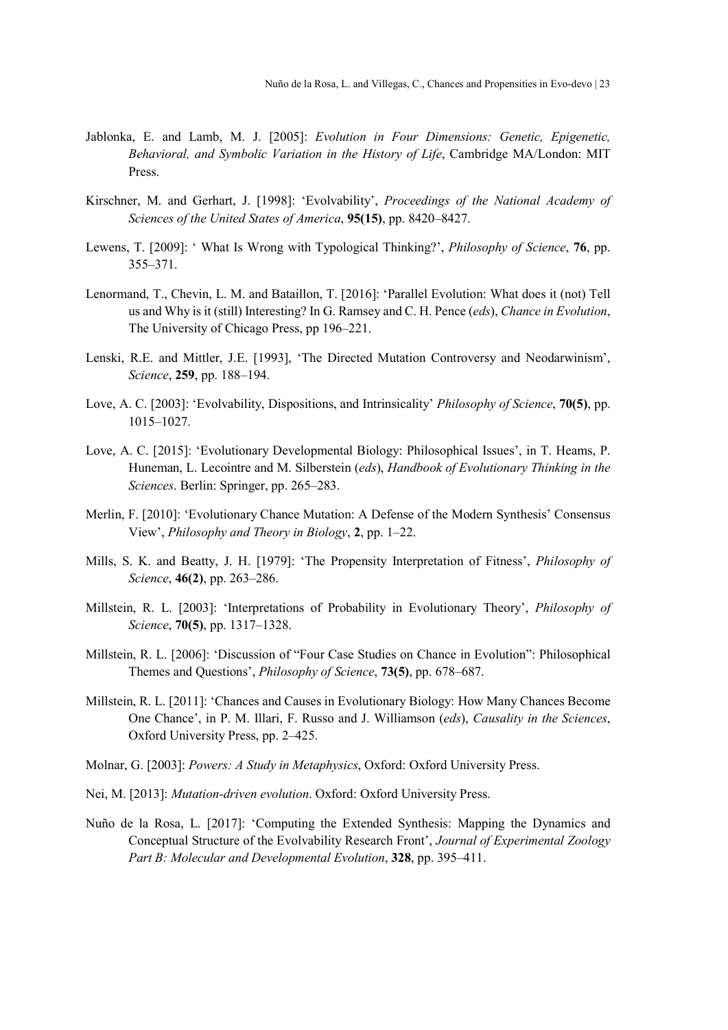- Jablonka, E. and Lamb, M. J. [2005]: Evolution in Four Dimensions: Genetic, Epigenetic, Behavioral, and Symbolic Variation in the History of Life, Cambridge MA/London: MIT Press.
- Kirschner, M. and Gerhart, J. [1998]: 'Evolvability', Proceedings of the National Academy of Sciences of the United States of America, 95(15), pp. 8420–8427.
- Lewens, T. [2009]: 'What Is Wrong with Typological Thinking?', *Philosophy of Science*, 76, pp. 355–371.
- Lenormand, T., Chevin, L. M. and Bataillon, T. [2016]: 'Parallel Evolution: What does it (not) Tell us and Why is it (still) Interesting? In G. Ramsey and C. H. Pence (eds), Chance in Evolution, The University of Chicago Press, pp 196–221.
- Lenski, R.E. and Mittler, J.E. [1993], 'The Directed Mutation Controversy and Neodarwinism', Science, 259, pp. 188–194.
- Love, A. C. [2003]: 'Evolvability, Dispositions, and Intrinsicality' *Philosophy of Science*, 70(5), pp. 1015–1027.
- Love, A. C. [2015]: 'Evolutionary Developmental Biology: Philosophical Issues', in T. Heams, P. Huneman, L. Lecointre and M. Silberstein (eds), Handbook of Evolutionary Thinking in the Sciences. Berlin: Springer, pp. 265–283.
- Merlin, F. [2010]: 'Evolutionary Chance Mutation: A Defense of the Modern Synthesis' Consensus View', Philosophy and Theory in Biology, 2, pp. 1–22.
- Mills, S. K. and Beatty, J. H. [1979]: 'The Propensity Interpretation of Fitness', Philosophy of Science, **46(2)**, pp. 263–286.
- Millstein, R. L. [2003]: 'Interpretations of Probability in Evolutionary Theory', Philosophy of Science, **70(5)**, pp. 1317–1328.
- Millstein, R. L. [2006]: 'Discussion of "Four Case Studies on Chance in Evolution": Philosophical Themes and Questions', Philosophy of Science, 73(5), pp. 678–687.
- Millstein, R. L. [2011]: 'Chances and Causes in Evolutionary Biology: How Many Chances Become One Chance', in P. M. Illari, F. Russo and J. Williamson (eds), Causality in the Sciences, Oxford University Press, pp. 2–425.
- Molnar, G. [2003]: Powers: A Study in Metaphysics, Oxford: Oxford University Press.
- Nei, M. [2013]: Mutation-driven evolution. Oxford: Oxford University Press.
- Nuño de la Rosa, L. [2017]: 'Computing the Extended Synthesis: Mapping the Dynamics and Conceptual Structure of the Evolvability Research Front', Journal of Experimental Zoology Part B: Molecular and Developmental Evolution, 328, pp. 395–411.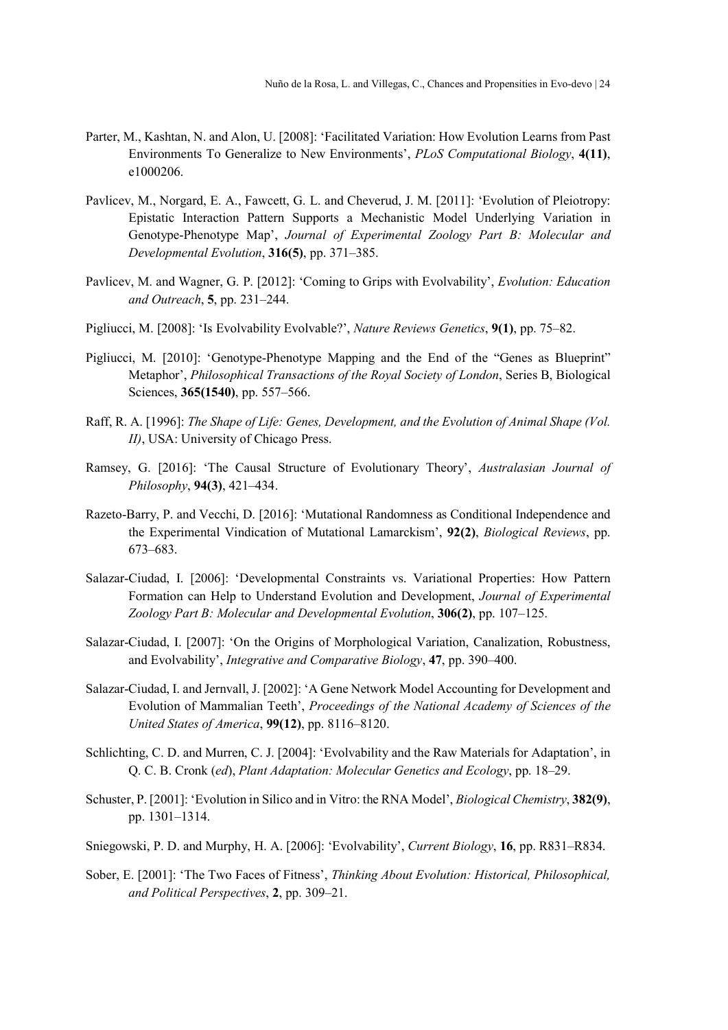- Parter, M., Kashtan, N. and Alon, U. [2008]: 'Facilitated Variation: How Evolution Learns from Past Environments To Generalize to New Environments', PLoS Computational Biology, 4(11), e1000206.
- Pavlicev, M., Norgard, E. A., Fawcett, G. L. and Cheverud, J. M. [2011]: 'Evolution of Pleiotropy: Epistatic Interaction Pattern Supports a Mechanistic Model Underlying Variation in Genotype-Phenotype Map', Journal of Experimental Zoology Part B: Molecular and Developmental Evolution, 316(5), pp. 371–385.
- Pavlicev, M. and Wagner, G. P. [2012]: 'Coming to Grips with Evolvability', Evolution: Education and Outreach, 5, pp. 231–244.
- Pigliucci, M. [2008]: 'Is Evolvability Evolvable?', Nature Reviews Genetics, 9(1), pp. 75–82.
- Pigliucci, M. [2010]: 'Genotype-Phenotype Mapping and the End of the "Genes as Blueprint" Metaphor', Philosophical Transactions of the Royal Society of London, Series B, Biological Sciences, 365(1540), pp. 557–566.
- Raff, R. A. [1996]: The Shape of Life: Genes, Development, and the Evolution of Animal Shape (Vol. II), USA: University of Chicago Press.
- Ramsey, G. [2016]: 'The Causal Structure of Evolutionary Theory', Australasian Journal of Philosophy, 94(3), 421–434.
- Razeto-Barry, P. and Vecchi, D. [2016]: 'Mutational Randomness as Conditional Independence and the Experimental Vindication of Mutational Lamarckism', 92(2), Biological Reviews, pp. 673–683.
- Salazar‐Ciudad, I. [2006]: 'Developmental Constraints vs. Variational Properties: How Pattern Formation can Help to Understand Evolution and Development, Journal of Experimental Zoology Part B: Molecular and Developmental Evolution, 306(2), pp. 107–125.
- Salazar-Ciudad, I. [2007]: 'On the Origins of Morphological Variation, Canalization, Robustness, and Evolvability', Integrative and Comparative Biology, 47, pp. 390–400.
- Salazar-Ciudad, I. and Jernvall, J. [2002]: 'A Gene Network Model Accounting for Development and Evolution of Mammalian Teeth', Proceedings of the National Academy of Sciences of the United States of America, 99(12), pp. 8116–8120.
- Schlichting, C. D. and Murren, C. J. [2004]: 'Evolvability and the Raw Materials for Adaptation', in Q. C. B. Cronk (ed), Plant Adaptation: Molecular Genetics and Ecology, pp. 18–29.
- Schuster, P. [2001]: 'Evolution in Silico and in Vitro: the RNA Model', *Biological Chemistry*, **382(9)**, pp. 1301–1314.
- Sniegowski, P. D. and Murphy, H. A. [2006]: 'Evolvability', Current Biology, 16, pp. R831–R834.
- Sober, E. [2001]: 'The Two Faces of Fitness', Thinking About Evolution: Historical, Philosophical, and Political Perspectives, 2, pp. 309–21.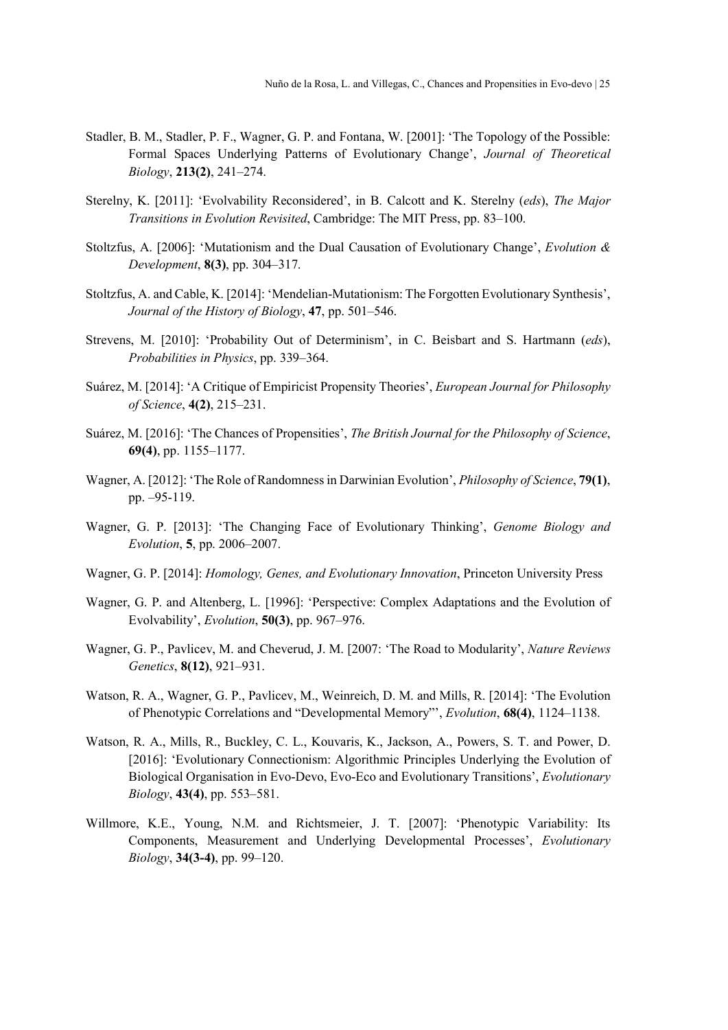- Stadler, B. M., Stadler, P. F., Wagner, G. P. and Fontana, W. [2001]: 'The Topology of the Possible: Formal Spaces Underlying Patterns of Evolutionary Change', Journal of Theoretical Biology, 213(2), 241–274.
- Sterelny, K. [2011]: 'Evolvability Reconsidered', in B. Calcott and K. Sterelny (eds), The Major Transitions in Evolution Revisited, Cambridge: The MIT Press, pp. 83–100.
- Stoltzfus, A. [2006]: 'Mutationism and the Dual Causation of Evolutionary Change', Evolution & Development, 8(3), pp. 304–317.
- Stoltzfus, A. and Cable, K. [2014]: 'Mendelian-Mutationism: The Forgotten Evolutionary Synthesis', Journal of the History of Biology, 47, pp. 501–546.
- Strevens, M. [2010]: 'Probability Out of Determinism', in C. Beisbart and S. Hartmann (eds), Probabilities in Physics, pp. 339–364.
- Suárez, M. [2014]: 'A Critique of Empiricist Propensity Theories', European Journal for Philosophy of Science, 4(2), 215–231.
- Suárez, M. [2016]: 'The Chances of Propensities', The British Journal for the Philosophy of Science, 69(4), pp. 1155–1177.
- Wagner, A. [2012]: 'The Role of Randomness in Darwinian Evolution', *Philosophy of Science*, **79(1)**, pp. –95-119.
- Wagner, G. P. [2013]: 'The Changing Face of Evolutionary Thinking', Genome Biology and Evolution, 5, pp. 2006–2007.
- Wagner, G. P. [2014]: Homology, Genes, and Evolutionary Innovation, Princeton University Press
- Wagner, G. P. and Altenberg, L. [1996]: 'Perspective: Complex Adaptations and the Evolution of Evolvability', Evolution, 50(3), pp. 967–976.
- Wagner, G. P., Pavlicev, M. and Cheverud, J. M. [2007: 'The Road to Modularity', Nature Reviews Genetics, 8(12), 921–931.
- Watson, R. A., Wagner, G. P., Pavlicev, M., Weinreich, D. M. and Mills, R. [2014]: 'The Evolution of Phenotypic Correlations and "Developmental Memory"', Evolution, 68(4), 1124–1138.
- Watson, R. A., Mills, R., Buckley, C. L., Kouvaris, K., Jackson, A., Powers, S. T. and Power, D. [2016]: 'Evolutionary Connectionism: Algorithmic Principles Underlying the Evolution of Biological Organisation in Evo-Devo, Evo-Eco and Evolutionary Transitions', Evolutionary Biology, 43(4), pp. 553–581.
- Willmore, K.E., Young, N.M. and Richtsmeier, J. T. [2007]: 'Phenotypic Variability: Its Components, Measurement and Underlying Developmental Processes', Evolutionary Biology, 34(3-4), pp. 99–120.